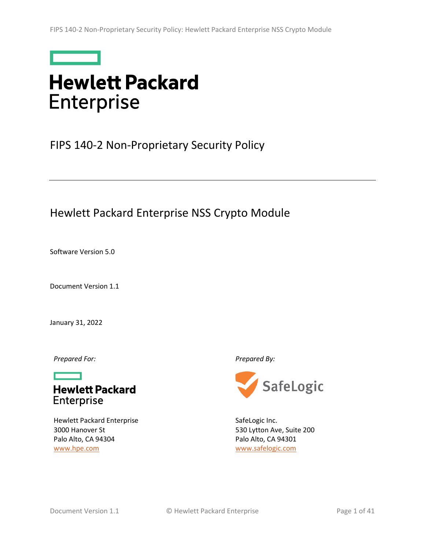

# **Hewlett Packard Enterprise**

## <span id="page-0-2"></span>FIPS 140-2 Non-Proprietary Security Policy

## Hewlett Packard Enterprise NSS Crypto Module

<span id="page-0-1"></span>Software Version 5.0

<span id="page-0-0"></span>Document Version 1.1

January 31, 2022

*Prepared For: Prepared By:*



Hewlett Packard Enterprise 3000 Hanover St Palo Alto, CA 94304 [www.hpe.com](http://www.hpe.com/)



SafeLogic Inc. 530 Lytton Ave, Suite 200 Palo Alto, CA 94301 [www.safelogic.com](http://www.safelogic.com/)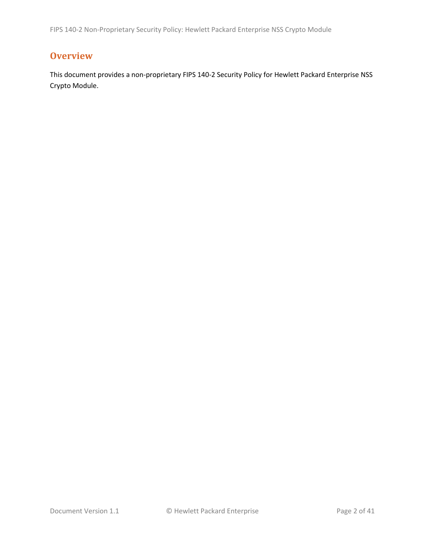## <span id="page-1-0"></span>**Overview**

This document provides a non-proprietary FIPS 140-2 Security Policy for Hewlett Packard Enterprise NSS Crypto Module.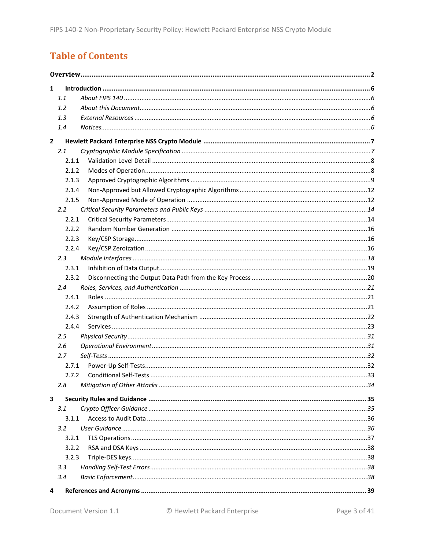## **Table of Contents**

| 1            |               |  |  |  |  |
|--------------|---------------|--|--|--|--|
|              | 1.1           |  |  |  |  |
|              | 1.2           |  |  |  |  |
|              | 1.3           |  |  |  |  |
|              | 1.4           |  |  |  |  |
| $\mathbf{2}$ |               |  |  |  |  |
|              | 2.1           |  |  |  |  |
|              | 2.1.1         |  |  |  |  |
|              | 2.1.2         |  |  |  |  |
|              | 2.1.3         |  |  |  |  |
|              | 2.1.4         |  |  |  |  |
|              | 2.1.5         |  |  |  |  |
|              | $2.2^{\circ}$ |  |  |  |  |
|              | 2.2.1         |  |  |  |  |
|              | 2.2.2         |  |  |  |  |
|              | 2.2.3         |  |  |  |  |
|              | 2.2.4         |  |  |  |  |
|              | $2.3^{\circ}$ |  |  |  |  |
|              | 2.3.1         |  |  |  |  |
|              | 2.3.2         |  |  |  |  |
|              | $2.4^{\circ}$ |  |  |  |  |
|              | 2.4.1         |  |  |  |  |
|              | 2.4.2         |  |  |  |  |
|              | 2.4.3         |  |  |  |  |
|              | 2.4.4         |  |  |  |  |
|              | 2.5           |  |  |  |  |
|              | 2.6           |  |  |  |  |
|              | 2.7           |  |  |  |  |
|              | 2.7.1         |  |  |  |  |
|              | 2.7.2         |  |  |  |  |
|              | 2.8           |  |  |  |  |
| 3            |               |  |  |  |  |
|              | 3.1           |  |  |  |  |
|              | 3.1.1         |  |  |  |  |
|              | $3.2^{\circ}$ |  |  |  |  |
|              | 3.2.1         |  |  |  |  |
|              | 3.2.2         |  |  |  |  |
|              | 3.2.3         |  |  |  |  |
|              | 3.3           |  |  |  |  |
|              | 3.4           |  |  |  |  |
| 4            |               |  |  |  |  |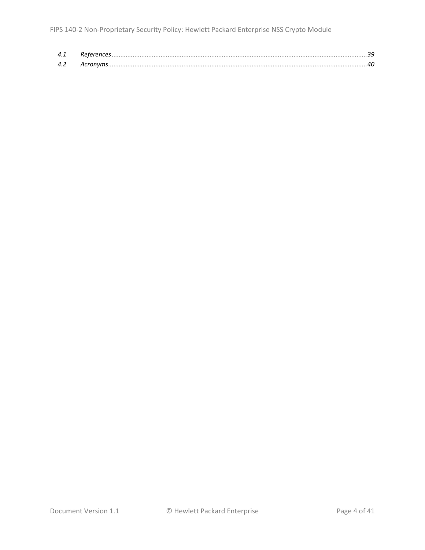| 4.1 |  |
|-----|--|
| 42  |  |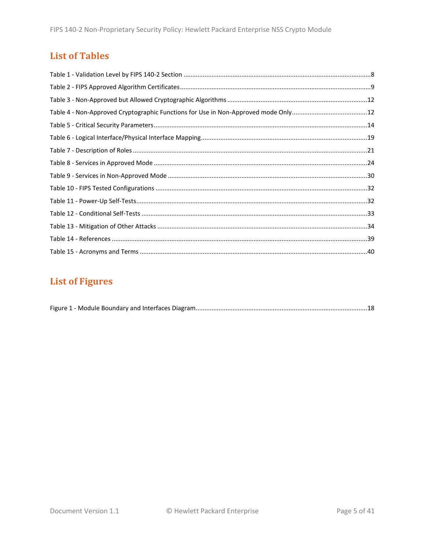## **List of Tables**

## **List of Figures**

|--|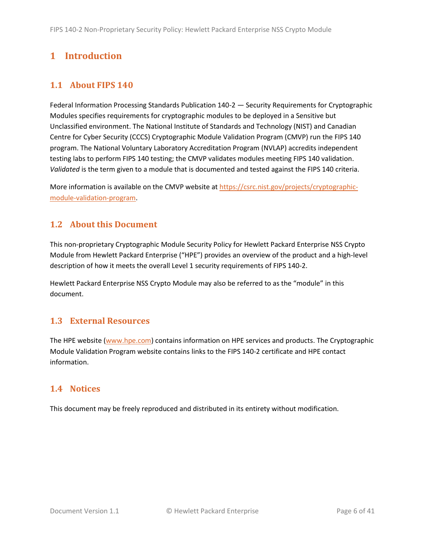## <span id="page-5-0"></span>**1 Introduction**

### <span id="page-5-1"></span>**1.1 About FIPS 140**

Federal Information Processing Standards Publication 140-2 — Security Requirements for Cryptographic Modules specifies requirements for cryptographic modules to be deployed in a Sensitive but Unclassified environment. The National Institute of Standards and Technology (NIST) and Canadian Centre for Cyber Security (CCCS) Cryptographic Module Validation Program (CMVP) run the FIPS 140 program. The National Voluntary Laboratory Accreditation Program (NVLAP) accredits independent testing labs to perform FIPS 140 testing; the CMVP validates modules meeting FIPS 140 validation. *Validated* is the term given to a module that is documented and tested against the FIPS 140 criteria.

More information is available on the CMVP website at [https://csrc.nist.gov/projects/cryptographic](https://csrc.nist.gov/projects/cryptographic-module-validation-program)[module-validation-program.](https://csrc.nist.gov/projects/cryptographic-module-validation-program)

### <span id="page-5-2"></span>**1.2 About this Document**

This non-proprietary Cryptographic Module Security Policy for Hewlett Packard Enterprise NSS Crypto Module from Hewlett Packard Enterprise ("HPE") provides an overview of the product and a high-level description of how it meets the overall Level 1 security requirements of FIPS 140-2.

Hewlett Packard Enterprise NSS Crypto Module may also be referred to as the "module" in this document.

### <span id="page-5-3"></span>**1.3 External Resources**

The HPE website [\(www.hpe.com\)](http://www.hpe.com/) contains information on HPE services and products. The Cryptographic Module Validation Program website contains links to the FIPS 140-2 certificate and HPE contact information.

### <span id="page-5-4"></span>**1.4 Notices**

This document may be freely reproduced and distributed in its entirety without modification.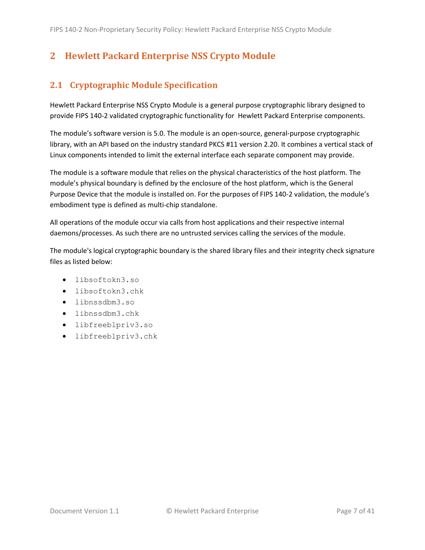## <span id="page-6-0"></span>**2 Hewlett Packard Enterprise NSS Crypto Module**

### <span id="page-6-1"></span>**2.1 Cryptographic Module Specification**

Hewlett Packard Enterprise NSS Crypto Module is a general purpose cryptographic library designed to provide FIPS 140-2 validated cryptographic functionality for Hewlett Packard Enterprise components.

The module's software version is [5.0.](#page-0-1) The module is an open-source, general-purpose cryptographic library, with an API based on the industry standard PKCS #11 version 2.20. It combines a vertical stack of Linux components intended to limit the external interface each separate component may provide.

The module is a software module that relies on the physical characteristics of the host platform. The module's physical boundary is defined by the enclosure of the host platform, which is the General Purpose Device that the module is installed on. For the purposes of FIPS 140-2 validation, the module's embodiment type is defined as multi-chip standalone.

All operations of the module occur via calls from host applications and their respective internal daemons/processes. As such there are no untrusted services calling the services of the module.

The module's logical cryptographic boundary is the shared library files and their integrity check signature files as listed below:

- libsoftokn3.so
- libsoftokn3.chk
- libnssdbm3.so
- libnssdbm3.chk
- libfreeblpriv3.so
- libfreeblpriv3.chk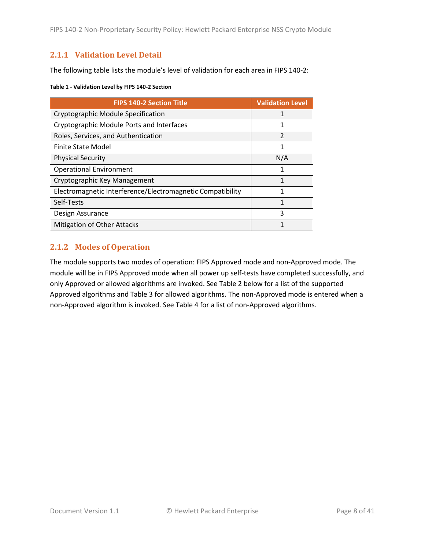FIPS 140-2 Non-Proprietary Security Policy: Hewlett Packard Enterprise NSS Crypto Module

#### <span id="page-7-0"></span>**2.1.1 Validation Level Detail**

The following table lists the module's level of validation for each area in FIPS 140-2:

#### **Table 1 - Validation Level by FIPS 140-2 Section**

| <b>FIPS 140-2 Section Title</b>                            | <b>Validation Level</b> |
|------------------------------------------------------------|-------------------------|
| Cryptographic Module Specification                         |                         |
| Cryptographic Module Ports and Interfaces                  | 1                       |
| Roles, Services, and Authentication                        | $\mathfrak{p}$          |
| <b>Finite State Model</b>                                  | 1                       |
| <b>Physical Security</b>                                   | N/A                     |
| <b>Operational Environment</b>                             | 1                       |
| Cryptographic Key Management                               | 1                       |
| Electromagnetic Interference/Electromagnetic Compatibility | 1                       |
| Self-Tests                                                 | 1                       |
| Design Assurance                                           | 3                       |
| <b>Mitigation of Other Attacks</b>                         |                         |

#### <span id="page-7-1"></span>**2.1.2 Modes of Operation**

The module supports two modes of operation: FIPS Approved mode and non-Approved mode. The module will be in FIPS Approved mode when all power up self-tests have completed successfully, and only Approved or allowed algorithms are invoked. See [Table 2](#page-8-1) below for a list of the supported Approved algorithms and [Table 3](#page-11-2) for allowed algorithms. The non-Approved mode is entered when a non-Approved algorithm is invoked. See [Table 4](#page-11-3) for a list of non-Approved algorithms.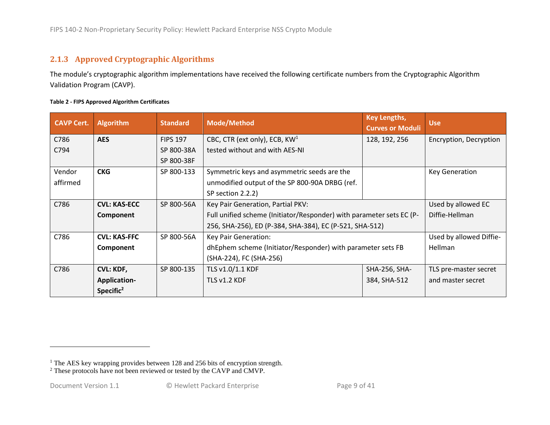### **2.1.3 Approved Cryptographic Algorithms**

The module's cryptographic algorithm implementations have received the following certificate numbers from the Cryptographic Algorithm Validation Program (CAVP).

| Table 2 - FIPS Approved Algorithm Certificates |  |
|------------------------------------------------|--|
|------------------------------------------------|--|

<span id="page-8-1"></span><span id="page-8-0"></span>

| <b>CAVP Cert.</b> | <b>Algorithm</b>                                                         | <b>Standard</b> | <b>Mode/Method</b>                                                   | <b>Key Lengths,</b><br><b>Curves or Moduli</b> | <b>Use</b>              |
|-------------------|--------------------------------------------------------------------------|-----------------|----------------------------------------------------------------------|------------------------------------------------|-------------------------|
| C786              | <b>AES</b>                                                               | <b>FIPS 197</b> | CBC, CTR (ext only), ECB, KW <sup>1</sup>                            | 128, 192, 256                                  | Encryption, Decryption  |
| C794              |                                                                          | SP 800-38A      | tested without and with AES-NI                                       |                                                |                         |
|                   |                                                                          | SP 800-38F      |                                                                      |                                                |                         |
| Vendor            | <b>CKG</b>                                                               | SP 800-133      | Symmetric keys and asymmetric seeds are the                          |                                                | <b>Key Generation</b>   |
| affirmed          |                                                                          |                 | unmodified output of the SP 800-90A DRBG (ref.                       |                                                |                         |
|                   |                                                                          |                 | SP section 2.2.2)                                                    |                                                |                         |
| C786              | <b>CVL: KAS-ECC</b>                                                      | SP 800-56A      | Key Pair Generation, Partial PKV:                                    |                                                | Used by allowed EC      |
|                   | Component                                                                |                 | Full unified scheme (Initiator/Responder) with parameter sets EC (P- |                                                | Diffie-Hellman          |
|                   |                                                                          |                 | 256, SHA-256), ED (P-384, SHA-384), EC (P-521, SHA-512)              |                                                |                         |
| C786              | <b>CVL: KAS-FFC</b>                                                      | SP 800-56A      | Key Pair Generation:                                                 |                                                | Used by allowed Diffie- |
|                   | dhEphem scheme (Initiator/Responder) with parameter sets FB<br>Component |                 |                                                                      | Hellman                                        |                         |
|                   |                                                                          |                 | (SHA-224), FC (SHA-256)                                              |                                                |                         |
| C786              | <b>CVL: KDF,</b>                                                         | SP 800-135      | TLS v1.0/1.1 KDF                                                     | SHA-256, SHA-                                  | TLS pre-master secret   |
|                   | <b>Application-</b>                                                      |                 | TLS v1.2 KDF                                                         | 384, SHA-512                                   | and master secret       |
|                   | Specific $2$                                                             |                 |                                                                      |                                                |                         |

<sup>&</sup>lt;sup>1</sup> The AES key wrapping provides between 128 and 256 bits of encryption strength.

<sup>&</sup>lt;sup>2</sup> These protocols have not been reviewed or tested by the CAVP and CMVP.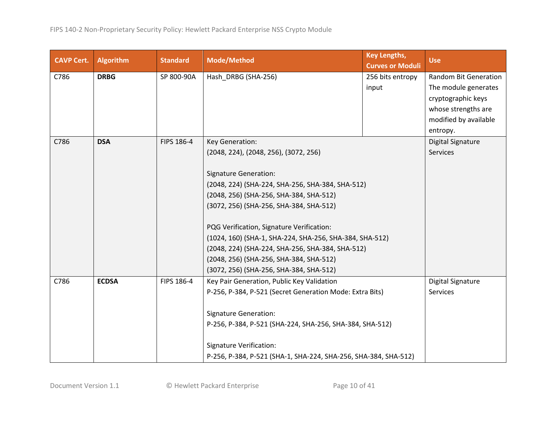| <b>CAVP Cert.</b> | Algorithm    | <b>Standard</b> | <b>Mode/Method</b>                                              | <b>Key Lengths,</b><br><b>Curves or Moduli</b> | <b>Use</b>                   |
|-------------------|--------------|-----------------|-----------------------------------------------------------------|------------------------------------------------|------------------------------|
| C786              | <b>DRBG</b>  | SP 800-90A      | Hash_DRBG (SHA-256)                                             | 256 bits entropy                               | <b>Random Bit Generation</b> |
|                   |              |                 |                                                                 | input                                          | The module generates         |
|                   |              |                 |                                                                 |                                                | cryptographic keys           |
|                   |              |                 |                                                                 |                                                | whose strengths are          |
|                   |              |                 |                                                                 |                                                | modified by available        |
|                   |              |                 |                                                                 |                                                | entropy.                     |
| C786              | <b>DSA</b>   | FIPS 186-4      | Key Generation:                                                 |                                                | Digital Signature            |
|                   |              |                 | (2048, 224), (2048, 256), (3072, 256)                           |                                                | Services                     |
|                   |              |                 |                                                                 |                                                |                              |
|                   |              |                 | <b>Signature Generation:</b>                                    |                                                |                              |
|                   |              |                 | (2048, 224) (SHA-224, SHA-256, SHA-384, SHA-512)                |                                                |                              |
|                   |              |                 |                                                                 | (2048, 256) (SHA-256, SHA-384, SHA-512)        |                              |
|                   |              |                 | (3072, 256) (SHA-256, SHA-384, SHA-512)                         |                                                |                              |
|                   |              |                 | PQG Verification, Signature Verification:                       |                                                |                              |
|                   |              |                 | (1024, 160) (SHA-1, SHA-224, SHA-256, SHA-384, SHA-512)         |                                                |                              |
|                   |              |                 | (2048, 224) (SHA-224, SHA-256, SHA-384, SHA-512)                |                                                |                              |
|                   |              |                 | (2048, 256) (SHA-256, SHA-384, SHA-512)                         |                                                |                              |
|                   |              |                 | (3072, 256) (SHA-256, SHA-384, SHA-512)                         |                                                |                              |
| C786              | <b>ECDSA</b> | FIPS 186-4      | Key Pair Generation, Public Key Validation                      |                                                | Digital Signature            |
|                   |              |                 | P-256, P-384, P-521 (Secret Generation Mode: Extra Bits)        |                                                | Services                     |
|                   |              |                 |                                                                 |                                                |                              |
|                   |              |                 | <b>Signature Generation:</b>                                    |                                                |                              |
|                   |              |                 | P-256, P-384, P-521 (SHA-224, SHA-256, SHA-384, SHA-512)        |                                                |                              |
|                   |              |                 |                                                                 |                                                |                              |
|                   |              |                 | <b>Signature Verification:</b>                                  |                                                |                              |
|                   |              |                 | P-256, P-384, P-521 (SHA-1, SHA-224, SHA-256, SHA-384, SHA-512) |                                                |                              |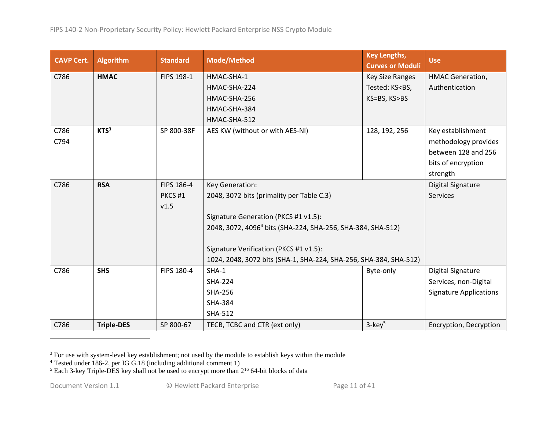| <b>CAVP Cert.</b> | <b>Algorithm</b>  | <b>Standard</b>   | <b>Mode/Method</b>                                                      | <b>Key Lengths,</b><br><b>Curves or Moduli</b>        | <b>Use</b>                    |
|-------------------|-------------------|-------------------|-------------------------------------------------------------------------|-------------------------------------------------------|-------------------------------|
| C786              | <b>HMAC</b>       | FIPS 198-1        | HMAC-SHA-1                                                              | Key Size Ranges                                       | <b>HMAC Generation,</b>       |
|                   |                   |                   | HMAC-SHA-224                                                            | Tested: KS <bs,< td=""><td>Authentication</td></bs,<> | Authentication                |
|                   |                   |                   | HMAC-SHA-256                                                            | KS=BS, KS>BS                                          |                               |
|                   |                   |                   | HMAC-SHA-384                                                            |                                                       |                               |
|                   |                   |                   | HMAC-SHA-512                                                            |                                                       |                               |
| C786              | KTS <sup>3</sup>  | SP 800-38F        | AES KW (without or with AES-NI)                                         | 128, 192, 256                                         | Key establishment             |
| C794              |                   |                   |                                                                         |                                                       | methodology provides          |
|                   |                   |                   |                                                                         |                                                       | between 128 and 256           |
|                   |                   |                   |                                                                         |                                                       | bits of encryption            |
|                   |                   |                   |                                                                         |                                                       | strength                      |
| C786              | <b>RSA</b>        | FIPS 186-4        | Key Generation:                                                         |                                                       | <b>Digital Signature</b>      |
|                   |                   | PKCS#1            | 2048, 3072 bits (primality per Table C.3)                               |                                                       | <b>Services</b>               |
|                   |                   | v1.5              |                                                                         |                                                       |                               |
|                   |                   |                   | Signature Generation (PKCS #1 v1.5):                                    |                                                       |                               |
|                   |                   |                   | 2048, 3072, 4096 <sup>4</sup> bits (SHA-224, SHA-256, SHA-384, SHA-512) |                                                       |                               |
|                   |                   |                   |                                                                         |                                                       |                               |
|                   |                   |                   | Signature Verification (PKCS #1 v1.5):                                  |                                                       |                               |
|                   |                   |                   | 1024, 2048, 3072 bits (SHA-1, SHA-224, SHA-256, SHA-384, SHA-512)       |                                                       |                               |
| C786              | <b>SHS</b>        | <b>FIPS 180-4</b> | $SHA-1$                                                                 | Byte-only                                             | <b>Digital Signature</b>      |
|                   |                   |                   | <b>SHA-224</b>                                                          |                                                       | Services, non-Digital         |
|                   |                   |                   | <b>SHA-256</b>                                                          |                                                       | <b>Signature Applications</b> |
|                   |                   |                   | <b>SHA-384</b>                                                          |                                                       |                               |
|                   |                   |                   | <b>SHA-512</b>                                                          |                                                       |                               |
| C786              | <b>Triple-DES</b> | SP 800-67         | TECB, TCBC and CTR (ext only)                                           | $3$ -key <sup>5</sup>                                 | Encryption, Decryption        |

 $3$  For use with system-level key establishment; not used by the module to establish keys within the module

<sup>&</sup>lt;sup>4</sup> Tested under 186-2, per IG G.18 (including additional comment 1)

 $5$  Each 3-key Triple-DES key shall not be used to encrypt more than  $2^{16}$  64-bit blocks of data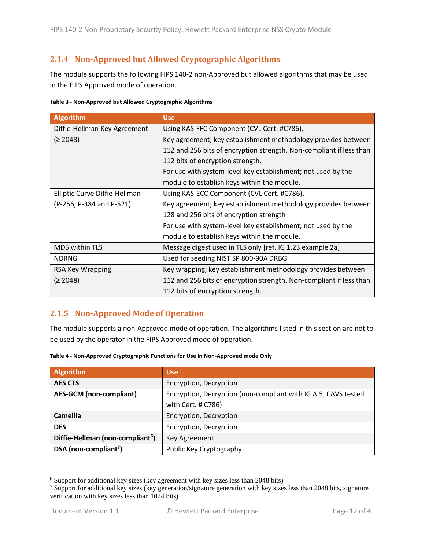#### <span id="page-11-0"></span>**2.1.4 Non-Approved but Allowed Cryptographic Algorithms**

The module supports the following FIPS 140-2 non-Approved but allowed algorithms that may be used in the FIPS Approved mode of operation.

<span id="page-11-2"></span>

| Table 3 - Non-Approved but Allowed Cryptographic Algorithms |  |  |
|-------------------------------------------------------------|--|--|
|                                                             |  |  |

| Algorithm                     | <b>Use</b>                                                          |
|-------------------------------|---------------------------------------------------------------------|
| Diffie-Hellman Key Agreement  | Using KAS-FFC Component (CVL Cert. #C786).                          |
| (≥ 2048)                      | Key agreement; key establishment methodology provides between       |
|                               | 112 and 256 bits of encryption strength. Non-compliant if less than |
|                               | 112 bits of encryption strength.                                    |
|                               | For use with system-level key establishment; not used by the        |
|                               | module to establish keys within the module.                         |
| Elliptic Curve Diffie-Hellman | Using KAS-ECC Component (CVL Cert. #C786).                          |
| (P-256, P-384 and P-521)      | Key agreement; key establishment methodology provides between       |
|                               | 128 and 256 bits of encryption strength                             |
|                               | For use with system-level key establishment; not used by the        |
|                               | module to establish keys within the module.                         |
| MD5 within TLS                | Message digest used in TLS only [ref. IG 1.23 example 2a]           |
| <b>NDRNG</b>                  | Used for seeding NIST SP 800-90A DRBG                               |
| RSA Key Wrapping              | Key wrapping; key establishment methodology provides between        |
| (≥ 2048)                      | 112 and 256 bits of encryption strength. Non-compliant if less than |
|                               | 112 bits of encryption strength.                                    |

#### <span id="page-11-1"></span>**2.1.5 Non-Approved Mode of Operation**

The module supports a non-Approved mode of operation. The algorithms listed in this section are not to be used by the operator in the FIPS Approved mode of operation.

| <b>Algorithm</b>                             | <b>Use</b>                                                     |
|----------------------------------------------|----------------------------------------------------------------|
| <b>AES CTS</b>                               | Encryption, Decryption                                         |
| <b>AES-GCM</b> (non-compliant)               | Encryption, Decryption (non-compliant with IG A.5, CAVS tested |
|                                              | with Cert. # C786)                                             |
| <b>Camellia</b>                              | Encryption, Decryption                                         |
| <b>DES</b>                                   | Encryption, Decryption                                         |
| Diffie-Hellman (non-compliant <sup>6</sup> ) | Key Agreement                                                  |
| DSA (non-compliant <sup>7</sup> )            | Public Key Cryptography                                        |

<span id="page-11-3"></span>

| Table 4 - Non-Approved Cryptographic Functions for Use in Non-Approved mode Only |  |
|----------------------------------------------------------------------------------|--|
|----------------------------------------------------------------------------------|--|

<sup>6</sup> Support for additional key sizes (key agreement with key sizes less than 2048 bits)

<sup>&</sup>lt;sup>7</sup> Support for additional key sizes (key generation/signature generation with key sizes less than 2048 bits, signature verification with key sizes less than 1024 bits)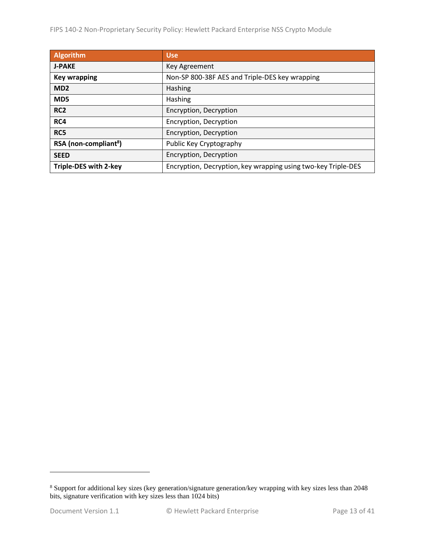FIPS 140-2 Non-Proprietary Security Policy: Hewlett Packard Enterprise NSS Crypto Module

| <b>Algorithm</b>                  | <b>Use</b>                                                    |
|-----------------------------------|---------------------------------------------------------------|
| <b>J-PAKE</b>                     | Key Agreement                                                 |
| <b>Key wrapping</b>               | Non-SP 800-38F AES and Triple-DES key wrapping                |
| MD <sub>2</sub>                   | <b>Hashing</b>                                                |
| MD <sub>5</sub>                   | Hashing                                                       |
| RC <sub>2</sub>                   | Encryption, Decryption                                        |
| RC4                               | Encryption, Decryption                                        |
| RC5                               | Encryption, Decryption                                        |
| RSA (non-compliant <sup>8</sup> ) | Public Key Cryptography                                       |
| <b>SEED</b>                       | Encryption, Decryption                                        |
| <b>Triple-DES with 2-key</b>      | Encryption, Decryption, key wrapping using two-key Triple-DES |

<sup>&</sup>lt;sup>8</sup> Support for additional key sizes (key generation/signature generation/key wrapping with key sizes less than 2048 bits, signature verification with key sizes less than 1024 bits)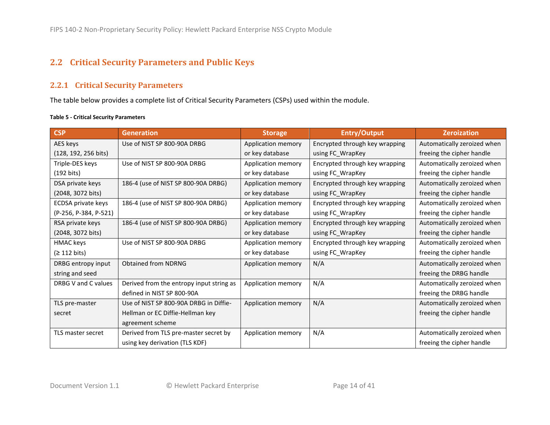## **2.2 Critical Security Parameters and Public Keys**

#### **2.2.1 Critical Security Parameters**

The table below provides a complete list of Critical Security Parameters (CSPs) used within the module.

#### <span id="page-13-3"></span>**Table 5 - Critical Security Parameters**

<span id="page-13-2"></span><span id="page-13-1"></span><span id="page-13-0"></span>

| <b>CSP</b>            | <b>Generation</b>                        | <b>Storage</b>     | <b>Entry/Output</b>            | <b>Zeroization</b>          |
|-----------------------|------------------------------------------|--------------------|--------------------------------|-----------------------------|
| AES keys              | Use of NIST SP 800-90A DRBG              | Application memory | Encrypted through key wrapping | Automatically zeroized when |
| (128, 192, 256 bits)  |                                          | or key database    | using FC_WrapKey               | freeing the cipher handle   |
| Triple-DES keys       | Use of NIST SP 800-90A DRBG              | Application memory | Encrypted through key wrapping | Automatically zeroized when |
| $(192 \text{ bits})$  |                                          | or key database    | using FC_WrapKey               | freeing the cipher handle   |
| DSA private keys      | 186-4 (use of NIST SP 800-90A DRBG)      | Application memory | Encrypted through key wrapping | Automatically zeroized when |
| (2048, 3072 bits)     |                                          | or key database    | using FC_WrapKey               | freeing the cipher handle   |
| ECDSA private keys    | 186-4 (use of NIST SP 800-90A DRBG)      | Application memory | Encrypted through key wrapping | Automatically zeroized when |
| (P-256, P-384, P-521) |                                          | or key database    | using FC_WrapKey               | freeing the cipher handle   |
| RSA private keys      | 186-4 (use of NIST SP 800-90A DRBG)      | Application memory | Encrypted through key wrapping | Automatically zeroized when |
| (2048, 3072 bits)     |                                          | or key database    | using FC_WrapKey               | freeing the cipher handle   |
| HMAC keys             | Use of NIST SP 800-90A DRBG              | Application memory | Encrypted through key wrapping | Automatically zeroized when |
| (≥ 112 bits)          |                                          | or key database    | using FC_WrapKey               | freeing the cipher handle   |
| DRBG entropy input    | <b>Obtained from NDRNG</b>               | Application memory | N/A                            | Automatically zeroized when |
| string and seed       |                                          |                    |                                | freeing the DRBG handle     |
| DRBG V and C values   | Derived from the entropy input string as | Application memory | N/A                            | Automatically zeroized when |
|                       | defined in NIST SP 800-90A               |                    |                                | freeing the DRBG handle     |
| TLS pre-master        | Use of NIST SP 800-90A DRBG in Diffie-   | Application memory | N/A                            | Automatically zeroized when |
| secret                | Hellman or EC Diffie-Hellman key         |                    |                                | freeing the cipher handle   |
|                       | agreement scheme                         |                    |                                |                             |
| TLS master secret     | Derived from TLS pre-master secret by    | Application memory | N/A                            | Automatically zeroized when |
|                       | using key derivation (TLS KDF)           |                    |                                | freeing the cipher handle   |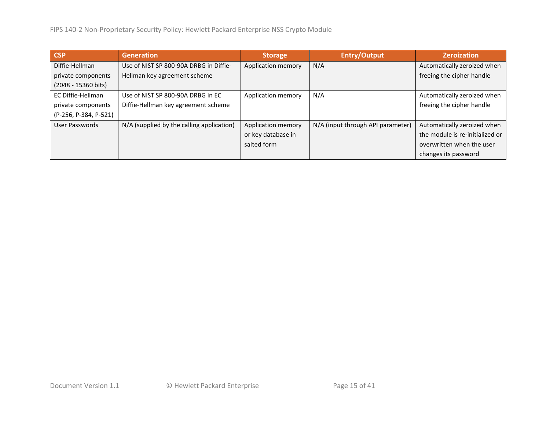| <b>CSP</b>            | <b>Generation</b>                         | <b>Storage</b>     | <b>Entry/Output</b>               | <b>Zeroization</b>              |
|-----------------------|-------------------------------------------|--------------------|-----------------------------------|---------------------------------|
| Diffie-Hellman        | Use of NIST SP 800-90A DRBG in Diffie-    | Application memory | N/A                               | Automatically zeroized when     |
| private components    | Hellman key agreement scheme              |                    |                                   | freeing the cipher handle       |
| (2048 - 15360 bits)   |                                           |                    |                                   |                                 |
| EC Diffie-Hellman     | Use of NIST SP 800-90A DRBG in EC         | Application memory | N/A                               | Automatically zeroized when     |
| private components    | Diffie-Hellman key agreement scheme       |                    |                                   | freeing the cipher handle       |
| (P-256, P-384, P-521) |                                           |                    |                                   |                                 |
| User Passwords        | N/A (supplied by the calling application) | Application memory | N/A (input through API parameter) | Automatically zeroized when     |
|                       |                                           | or key database in |                                   | the module is re-initialized or |
|                       |                                           | salted form        |                                   | overwritten when the user       |
|                       |                                           |                    |                                   | changes its password            |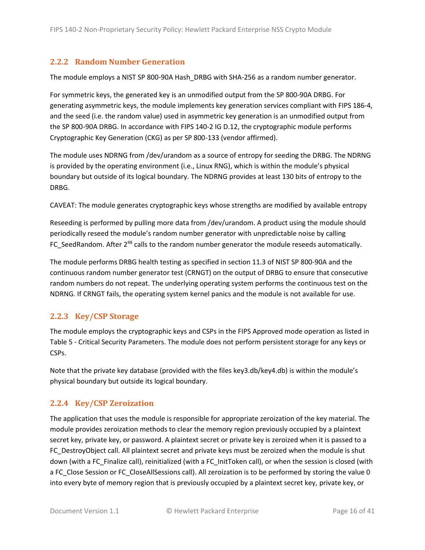#### <span id="page-15-3"></span><span id="page-15-0"></span>**2.2.2 Random Number Generation**

The module employs a NIST SP 800-90A Hash\_DRBG with SHA-256 as a random number generator.

For symmetric keys, the generated key is an unmodified output from the SP 800-90A DRBG. For generating asymmetric keys, the module implements key generation services compliant with FIPS 186-4, and the seed (i.e. the random value) used in asymmetric key generation is an unmodified output from the SP 800-90A DRBG. In accordance with FIPS 140-2 IG D.12, the cryptographic module performs Cryptographic Key Generation (CKG) as per SP 800-133 (vendor affirmed).

The module uses NDRNG from /dev/urandom as a source of entropy for seeding the DRBG. The NDRNG is provided by the operating environment (i.e., Linux RNG), which is within the module's physical boundary but outside of its logical boundary. The NDRNG provides at least 130 bits of entropy to the DRBG.

CAVEAT: The module generates cryptographic keys whose strengths are modified by available entropy

Reseeding is performed by pulling more data from /dev/urandom. A product using the module should periodically reseed the module's random number generator with unpredictable noise by calling FC\_SeedRandom. After 2<sup>48</sup> calls to the random number generator the module reseeds automatically.

The module performs DRBG health testing as specified in section 11.3 of NIST SP 800-90A and the continuous random number generator test (CRNGT) on the output of DRBG to ensure that consecutive random numbers do not repeat. The underlying operating system performs the continuous test on the NDRNG. If CRNGT fails, the operating system kernel panics and the module is not available for use.

#### <span id="page-15-1"></span>**2.2.3 Key/CSP Storage**

The module employs the cryptographic keys and CSPs in the FIPS Approved mode operation as listed in Table 5 - [Critical Security Parameters.](#page-13-2) The module does not perform persistent storage for any keys or CSPs.

Note that the private key database (provided with the files key3.db/key4.db) is within the module's physical boundary but outside its logical boundary.

#### <span id="page-15-2"></span>**2.2.4 Key/CSP Zeroization**

The application that uses the module is responsible for appropriate zeroization of the key material. The module provides zeroization methods to clear the memory region previously occupied by a plaintext secret key, private key, or password. A plaintext secret or private key is zeroized when it is passed to a FC\_DestroyObject call. All plaintext secret and private keys must be zeroized when the module is shut down (with a FC\_Finalize call), reinitialized (with a FC\_InitToken call), or when the session is closed (with a FC\_Close Session or FC\_CloseAllSessions call). All zeroization is to be performed by storing the value 0 into every byte of memory region that is previously occupied by a plaintext secret key, private key, or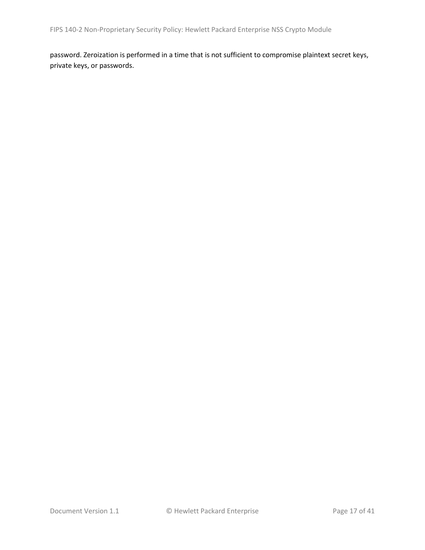password. Zeroization is performed in a time that is not sufficient to compromise plaintext secret keys, private keys, or passwords.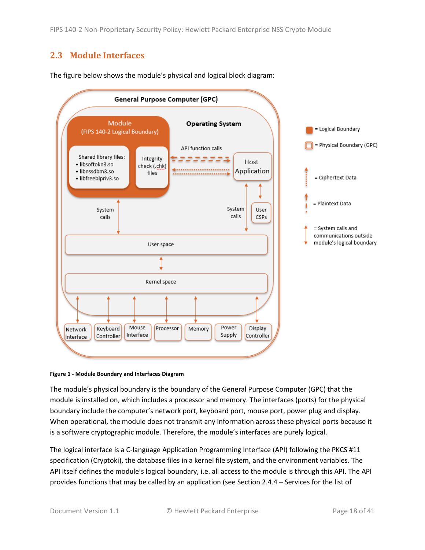### <span id="page-17-0"></span>**2.3 Module Interfaces**



The figure below shows the module's physical and logical block diagram:

#### **Figure 1 - Module Boundary and Interfaces Diagram**

The module's physical boundary is the boundary of the General Purpose Computer (GPC) that the module is installed on, which includes a processor and memory. The interfaces (ports) for the physical boundary include the computer's network port, keyboard port, mouse port, power plug and display. When operational, the module does not transmit any information across these physical ports because it is a software cryptographic module. Therefore, the module's interfaces are purely logical.

The logical interface is a C-language Application Programming Interface (API) following the PKCS #11 specification (Cryptoki), the database files in a kernel file system, and the environment variables. The API itself defines the module's logical boundary, i.e. all access to the module is through this API. The API provides functions that may be called by an application (see Sectio[n 2.4.4](#page-22-0) – [Services](#page-22-0) for the list of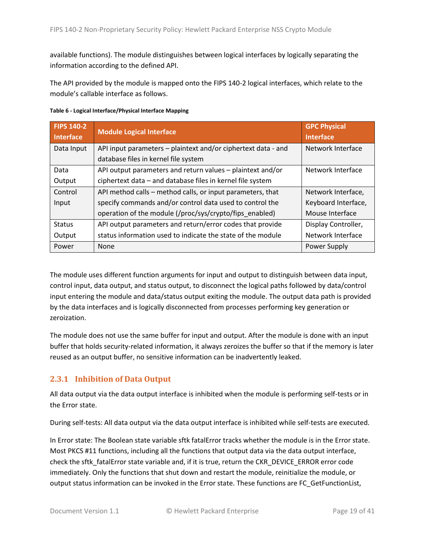available functions). The module distinguishes between logical interfaces by logically separating the information according to the defined API.

The API provided by the module is mapped onto the FIPS 140-2 logical interfaces, which relate to the module's callable interface as follows.

| <b>FIPS 140-2</b><br><b>Interface</b> | <b>Module Logical Interface</b>                               | <b>GPC Physical</b><br><b>Interface</b> |
|---------------------------------------|---------------------------------------------------------------|-----------------------------------------|
| Data Input                            | API input parameters - plaintext and/or ciphertext data - and | Network Interface                       |
|                                       | database files in kernel file system                          |                                         |
| Data                                  | API output parameters and return values - plaintext and/or    | Network Interface                       |
| Output                                | ciphertext data - and database files in kernel file system    |                                         |
| Control                               | API method calls - method calls, or input parameters, that    | Network Interface,                      |
| Input                                 | specify commands and/or control data used to control the      | Keyboard Interface,                     |
|                                       | operation of the module (/proc/sys/crypto/fips_enabled)       | Mouse Interface                         |
| <b>Status</b>                         | API output parameters and return/error codes that provide     | Display Controller,                     |
| Output                                | status information used to indicate the state of the module   | Network Interface                       |
| Power                                 | None                                                          | Power Supply                            |

**Table 6 - Logical Interface/Physical Interface Mapping**

The module uses different function arguments for input and output to distinguish between data input, control input, data output, and status output, to disconnect the logical paths followed by data/control input entering the module and data/status output exiting the module. The output data path is provided by the data interfaces and is logically disconnected from processes performing key generation or zeroization.

The module does not use the same buffer for input and output. After the module is done with an input buffer that holds security-related information, it always zeroizes the buffer so that if the memory is later reused as an output buffer, no sensitive information can be inadvertently leaked.

#### <span id="page-18-0"></span>**2.3.1 Inhibition of Data Output**

All data output via the data output interface is inhibited when the module is performing self-tests or in the Error state.

During self-tests: All data output via the data output interface is inhibited while self-tests are executed.

In Error state: The Boolean state variable sftk fatalError tracks whether the module is in the Error state. Most PKCS #11 functions, including all the functions that output data via the data output interface, check the sftk\_fatalError state variable and, if it is true, return the CKR\_DEVICE\_ERROR error code immediately. Only the functions that shut down and restart the module, reinitialize the module, or output status information can be invoked in the Error state. These functions are FC\_GetFunctionList,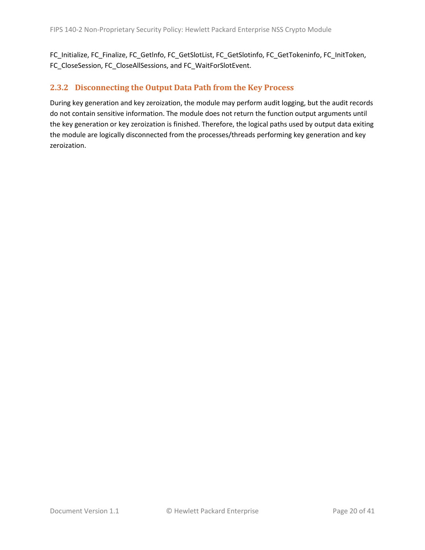FC\_Initialize, FC\_Finalize, FC\_Getlnfo, FC\_GetSlotList, FC\_GetSlotinfo, FC\_GetTokeninfo, FC\_InitToken, FC\_CloseSession, FC\_CloseAllSessions, and FC\_WaitForSlotEvent.

#### <span id="page-19-0"></span>**2.3.2 Disconnecting the Output Data Path from the Key Process**

During key generation and key zeroization, the module may perform audit logging, but the audit records do not contain sensitive information. The module does not return the function output arguments until the key generation or key zeroization is finished. Therefore, the logical paths used by output data exiting the module are logically disconnected from the processes/threads performing key generation and key zeroization.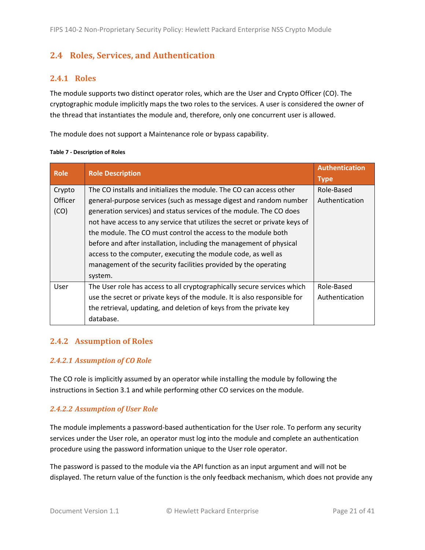### <span id="page-20-0"></span>**2.4 Roles, Services, and Authentication**

#### <span id="page-20-1"></span>**2.4.1 Roles**

The module supports two distinct operator roles, which are the User and Crypto Officer (CO). The cryptographic module implicitly maps the two roles to the services. A user is considered the owner of the thread that instantiates the module and, therefore, only one concurrent user is allowed.

The module does not support a Maintenance role or bypass capability.

| <b>Role</b>    | <b>Role Description</b>                                                    | <b>Authentication</b><br><b>Type</b> |
|----------------|----------------------------------------------------------------------------|--------------------------------------|
| Crypto         | The CO installs and initializes the module. The CO can access other        | Role-Based                           |
| <b>Officer</b> | general-purpose services (such as message digest and random number         | Authentication                       |
| (CO)           | generation services) and status services of the module. The CO does        |                                      |
|                | not have access to any service that utilizes the secret or private keys of |                                      |
|                | the module. The CO must control the access to the module both              |                                      |
|                | before and after installation, including the management of physical        |                                      |
|                | access to the computer, executing the module code, as well as              |                                      |
|                | management of the security facilities provided by the operating            |                                      |
|                | system.                                                                    |                                      |
| User           | The User role has access to all cryptographically secure services which    | Role-Based                           |
|                | use the secret or private keys of the module. It is also responsible for   | Authentication                       |
|                | the retrieval, updating, and deletion of keys from the private key         |                                      |
|                | database.                                                                  |                                      |

#### **Table 7 - Description of Roles**

#### <span id="page-20-2"></span>**2.4.2 Assumption of Roles**

#### *2.4.2.1 Assumption of CO Role*

The CO role is implicitly assumed by an operator while installing the module by following the instructions in Sectio[n 3.1](#page-34-1) and while performing other CO services on the module.

#### *2.4.2.2 Assumption of User Role*

The module implements a password-based authentication for the User role. To perform any security services under the User role, an operator must log into the module and complete an authentication procedure using the password information unique to the User role operator.

The password is passed to the module via the API function as an input argument and will not be displayed. The return value of the function is the only feedback mechanism, which does not provide any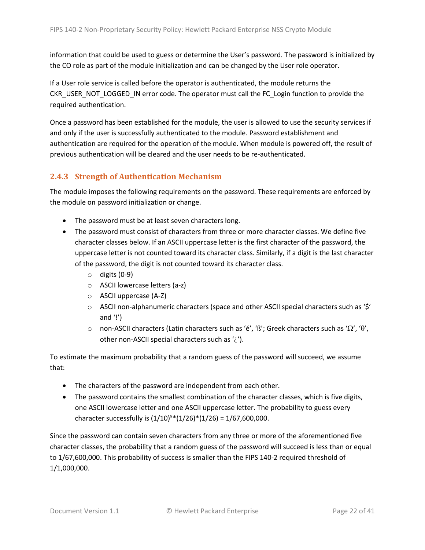information that could be used to guess or determine the User's password. The password is initialized by the CO role as part of the module initialization and can be changed by the User role operator.

If a User role service is called before the operator is authenticated, the module returns the CKR\_USER\_NOT\_LOGGED\_IN error code. The operator must call the FC\_Login function to provide the required authentication.

Once a password has been established for the module, the user is allowed to use the security services if and only if the user is successfully authenticated to the module. Password establishment and authentication are required for the operation of the module. When module is powered off, the result of previous authentication will be cleared and the user needs to be re-authenticated.

### <span id="page-21-0"></span>**2.4.3 Strength of Authentication Mechanism**

The module imposes the following requirements on the password. These requirements are enforced by the module on password initialization or change.

- The password must be at least seven characters long.
- The password must consist of characters from three or more character classes. We define five character classes below. If an ASCII uppercase letter is the first character of the password, the uppercase letter is not counted toward its character class. Similarly, if a digit is the last character of the password, the digit is not counted toward its character class.
	- $\circ$  digits (0-9)
	- o ASCII lowercase letters (a-z)
	- o ASCII uppercase (A-Z)
	- $\circ$  ASCII non-alphanumeric characters (space and other ASCII special characters such as '\$' and  $'$ !')
	- o non-ASCII characters (Latin characters such as 'é', 'ß'; Greek characters such as ' $\Omega'$ , ' $\theta'$ , other non-ASCII special characters such as '¿').

To estimate the maximum probability that a random guess of the password will succeed, we assume that:

- The characters of the password are independent from each other.
- The password contains the smallest combination of the character classes, which is five digits, one ASCII lowercase letter and one ASCII uppercase letter. The probability to guess every character successfully is  $(1/10)^{5*}(1/26)^*(1/26) = 1/67,600,000$ .

Since the password can contain seven characters from any three or more of the aforementioned five character classes, the probability that a random guess of the password will succeed is less than or equal to 1/67,600,000. This probability of success is smaller than the FIPS 140-2 required threshold of 1/1,000,000.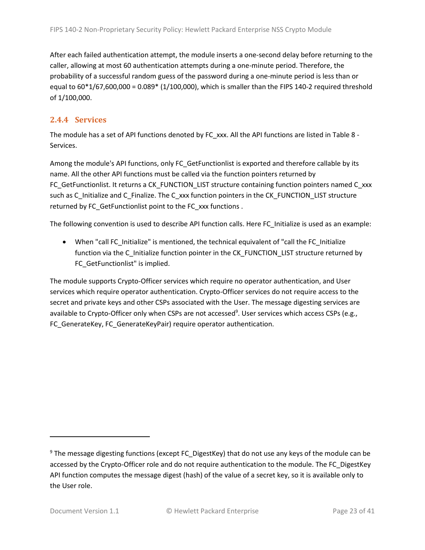After each failed authentication attempt, the module inserts a one-second delay before returning to the caller, allowing at most 60 authentication attempts during a one-minute period. Therefore, the probability of a successful random guess of the password during a one-minute period is less than or equal to 60\*1/67,600,000 = 0.089\* (1/100,000), which is smaller than the FIPS 140-2 required threshold of 1/100,000.

#### <span id="page-22-0"></span>**2.4.4 Services**

The module has a set of API functions denoted by FC\_xxx. All the API functions are listed in [Table 8](#page-23-0) -[Services.](#page-23-0)

Among the module's API functions, only FC GetFunctionlist is exported and therefore callable by its name. All the other API functions must be called via the function pointers returned by FC GetFunctionlist. It returns a CK\_FUNCTION\_LIST structure containing function pointers named C\_xxx such as C\_Initialize and C\_Finalize. The C\_xxx function pointers in the CK\_FUNCTION\_LIST structure returned by FC\_GetFunctionlist point to the FC\_xxx functions .

The following convention is used to describe API function calls. Here FC\_Initialize is used as an example:

• When "call FC\_Initialize" is mentioned, the technical equivalent of "call the FC\_Initialize function via the C\_Initialize function pointer in the CK\_FUNCTION\_LIST structure returned by FC GetFunctionlist" is implied.

The module supports Crypto-Officer services which require no operator authentication, and User services which require operator authentication. Crypto-Officer services do not require access to the secret and private keys and other CSPs associated with the User. The message digesting services are available to Crypto-Officer only when CSPs are not accessed<sup>9</sup>. User services which access CSPs (e.g., FC\_GenerateKey, FC\_GenerateKeyPair) require operator authentication.

<sup>&</sup>lt;sup>9</sup> The message digesting functions (except FC\_DigestKey) that do not use any keys of the module can be accessed by the Crypto-Officer role and do not require authentication to the module. The FC\_DigestKey API function computes the message digest (hash) of the value of a secret key, so it is available only to the User role.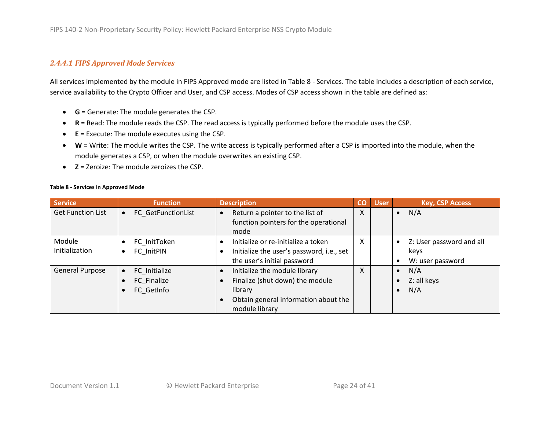#### *2.4.4.1 FIPS Approved Mode Services*

All services implemented by the module in FIPS Approved mode are listed in Table 8 - [Services.](#page-23-1) The table includes a description of each service, service availability to the Crypto Officer and User, and CSP access. Modes of CSP access shown in the table are defined as:

- **G** = Generate: The module generates the CSP.
- **R** = Read: The module reads the CSP. The read access is typically performed before the module uses the CSP.
- **E** = Execute: The module executes using the CSP.
- **W** = Write: The module writes the CSP. The write access is typically performed after a CSP is imported into the module, when the module generates a CSP, or when the module overwrites an existing CSP.
- **Z** = Zeroize: The module zeroizes the CSP.

<span id="page-23-1"></span>

<span id="page-23-0"></span>

| Service                  | <b>Function</b>                                         | <b>Description</b>                                                                                                                                                           | CO | <b>User</b> | <b>Key, CSP Access</b>                                            |
|--------------------------|---------------------------------------------------------|------------------------------------------------------------------------------------------------------------------------------------------------------------------------------|----|-------------|-------------------------------------------------------------------|
| <b>Get Function List</b> | FC GetFunctionList<br>$\bullet$                         | Return a pointer to the list of<br>$\bullet$<br>function pointers for the operational<br>mode                                                                                | X  |             | N/A<br>$\bullet$                                                  |
| Module<br>Initialization | FC InitToken<br>$\bullet$<br>FC InitPIN<br>$\bullet$    | Initialize or re-initialize a token<br>$\bullet$<br>Initialize the user's password, i.e., set<br>$\bullet$<br>the user's initial password                                    | X  |             | Z: User password and all<br>$\bullet$<br>keys<br>W: user password |
| <b>General Purpose</b>   | FC Initialize<br>$\bullet$<br>FC Finalize<br>FC GetInfo | Initialize the module library<br>$\bullet$<br>Finalize (shut down) the module<br>$\bullet$<br>library<br>Obtain general information about the<br>$\bullet$<br>module library | X  |             | N/A<br>$\bullet$<br>Z: all keys<br>N/A                            |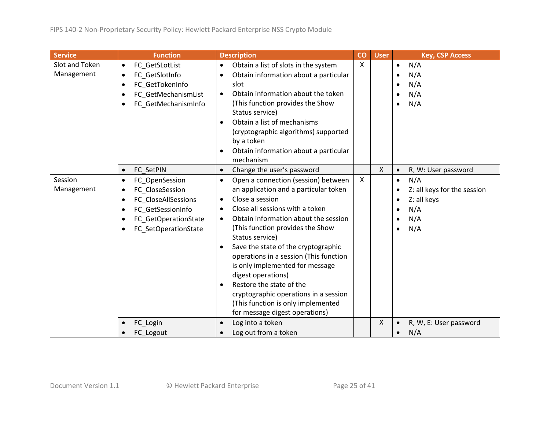| <b>Service</b>               |                                                  | <b>Function</b>                                                                                                               |                                                                            | <b>Description</b>                                                                                                                                                                                                                                                                                                                                                                                                                                                                                                       | CO                        | <b>User</b>  |                                     | <b>Key, CSP Access</b>                                                 |
|------------------------------|--------------------------------------------------|-------------------------------------------------------------------------------------------------------------------------------|----------------------------------------------------------------------------|--------------------------------------------------------------------------------------------------------------------------------------------------------------------------------------------------------------------------------------------------------------------------------------------------------------------------------------------------------------------------------------------------------------------------------------------------------------------------------------------------------------------------|---------------------------|--------------|-------------------------------------|------------------------------------------------------------------------|
| Slot and Token<br>Management | $\bullet$<br>$\bullet$<br>$\bullet$<br>$\bullet$ | FC_GetSLotList<br>FC_GetSlotInfo<br>FC GetTokenInfo<br>FC_GetMechanismList<br>FC_GetMechanismInfo                             | $\bullet$<br>$\bullet$<br>$\bullet$<br>$\bullet$<br>$\bullet$              | Obtain a list of slots in the system<br>Obtain information about a particular<br>slot<br>Obtain information about the token<br>(This function provides the Show<br>Status service)<br>Obtain a list of mechanisms<br>(cryptographic algorithms) supported<br>by a token<br>Obtain information about a particular<br>mechanism                                                                                                                                                                                            | $\boldsymbol{\mathsf{X}}$ |              | $\bullet$<br>$\bullet$              | N/A<br>N/A<br>N/A<br>N/A<br>N/A                                        |
|                              | $\bullet$                                        | FC SetPIN                                                                                                                     | $\bullet$                                                                  | Change the user's password                                                                                                                                                                                                                                                                                                                                                                                                                                                                                               |                           | $\mathsf{X}$ | $\bullet$                           | R, W: User password                                                    |
| Session<br>Management        | $\bullet$<br>٠<br>$\bullet$<br>٠                 | FC_OpenSession<br>FC_CloseSession<br>FC_CloseAllSessions<br>FC GetSessionInfo<br>FC_GetOperationState<br>FC SetOperationState | $\bullet$<br>$\bullet$<br>$\bullet$<br>$\bullet$<br>$\bullet$<br>$\bullet$ | Open a connection (session) between<br>an application and a particular token<br>Close a session<br>Close all sessions with a token<br>Obtain information about the session<br>(This function provides the Show<br>Status service)<br>Save the state of the cryptographic<br>operations in a session (This function<br>is only implemented for message<br>digest operations)<br>Restore the state of the<br>cryptographic operations in a session<br>(This function is only implemented<br>for message digest operations) | $\mathsf{X}$              |              | $\bullet$<br>$\bullet$<br>$\bullet$ | N/A<br>Z: all keys for the session<br>Z: all keys<br>N/A<br>N/A<br>N/A |
|                              |                                                  | FC_Login<br>FC Logout                                                                                                         | $\bullet$<br>$\bullet$                                                     | Log into a token<br>Log out from a token                                                                                                                                                                                                                                                                                                                                                                                                                                                                                 |                           | $\mathsf{X}$ |                                     | R, W, E: User password<br>N/A                                          |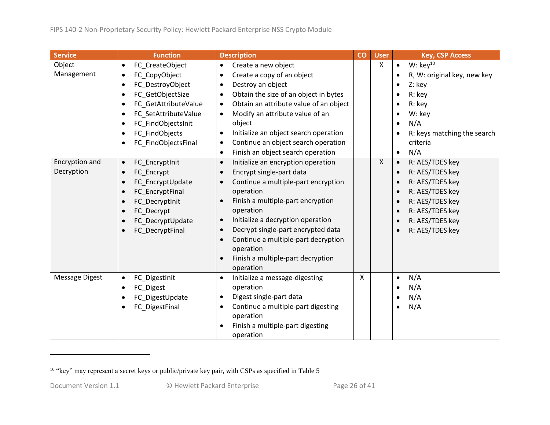| <b>Service</b>               | <b>Function</b>                                                                                                                                                      | <b>Description</b>                                                                                                                                                                                                                                                                                                                                                                                                                                            | CO | <b>User</b>  | <b>Key, CSP Access</b>                                                                                                                                            |
|------------------------------|----------------------------------------------------------------------------------------------------------------------------------------------------------------------|---------------------------------------------------------------------------------------------------------------------------------------------------------------------------------------------------------------------------------------------------------------------------------------------------------------------------------------------------------------------------------------------------------------------------------------------------------------|----|--------------|-------------------------------------------------------------------------------------------------------------------------------------------------------------------|
| Object<br>Management         | FC CreateObject<br>$\bullet$<br>FC_CopyObject<br>$\bullet$<br>FC_DestroyObject<br>FC GetObjectSize<br>FC_GetAttributeValue<br>FC SetAttributeValue<br>$\bullet$      | Create a new object<br>$\bullet$<br>Create a copy of an object<br>$\bullet$<br>Destroy an object<br>$\bullet$<br>Obtain the size of an object in bytes<br>$\bullet$<br>Obtain an attribute value of an object<br>$\bullet$<br>Modify an attribute value of an<br>$\bullet$                                                                                                                                                                                    |    | $\mathsf{X}$ | W: $key^{10}$<br>$\bullet$<br>R, W: original key, new key<br>$\bullet$<br>Z: key<br>R: key<br>R: key<br>W: key                                                    |
|                              | FC FindObjectsInit<br>FC_FindObjects<br>FC_FindObjectsFinal                                                                                                          | object<br>Initialize an object search operation<br>$\bullet$<br>Continue an object search operation<br>$\bullet$<br>Finish an object search operation<br>$\bullet$                                                                                                                                                                                                                                                                                            |    |              | N/A<br>R: keys matching the search<br>criteria<br>N/A<br>$\bullet$                                                                                                |
| Encryption and<br>Decryption | FC_EncryptInit<br>$\bullet$<br>FC Encrypt<br>$\bullet$<br>FC_EncryptUpdate<br>FC_EncryptFinal<br>FC DecryptInit<br>FC_Decrypt<br>FC_DecryptUpdate<br>FC DecryptFinal | Initialize an encryption operation<br>$\bullet$<br>Encrypt single-part data<br>$\bullet$<br>Continue a multiple-part encryption<br>$\bullet$<br>operation<br>Finish a multiple-part encryption<br>$\bullet$<br>operation<br>Initialize a decryption operation<br>$\bullet$<br>Decrypt single-part encrypted data<br>$\bullet$<br>Continue a multiple-part decryption<br>$\bullet$<br>operation<br>Finish a multiple-part decryption<br>$\bullet$<br>operation |    | $\mathsf{X}$ | R: AES/TDES key<br>R: AES/TDES key<br>$\bullet$<br>R: AES/TDES key<br>R: AES/TDES key<br>R: AES/TDES key<br>R: AES/TDES key<br>R: AES/TDES key<br>R: AES/TDES key |
| <b>Message Digest</b>        | FC_DigestInit<br>FC Digest<br>FC_DigestUpdate<br>FC_DigestFinal                                                                                                      | Initialize a message-digesting<br>$\bullet$<br>operation<br>Digest single-part data<br>$\bullet$<br>Continue a multiple-part digesting<br>$\bullet$<br>operation<br>Finish a multiple-part digesting<br>$\bullet$<br>operation                                                                                                                                                                                                                                | X  |              | N/A<br>$\bullet$<br>N/A<br>N/A<br>N/A<br>$\bullet$                                                                                                                |

<sup>&</sup>lt;sup>10</sup> "key" may represent a secret keys or public/private key pair, with CSPs as specified in [Table 5](#page-13-3)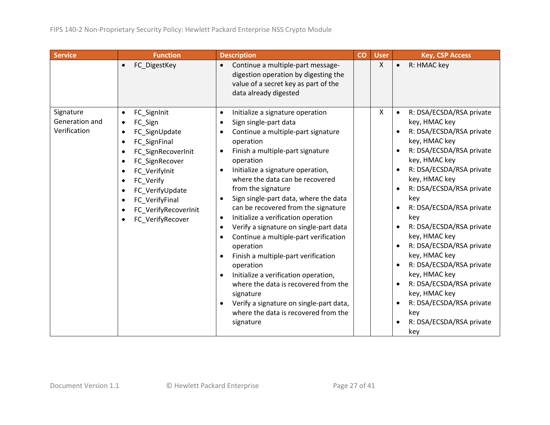| <b>Service</b>                              | <b>Function</b>                                                                                                                                                                                                                                                                                                                                               | <b>Description</b>                                                                                                                                                                                                                                                                                                                                                                                                                                                                                                                                                                                                                                                                                                                                                                                                                                                                              | CO | <b>User</b> | <b>Key, CSP Access</b>                                                                                                                                                                                                                                                                                                                                                                                                                                                                                                                                                            |
|---------------------------------------------|---------------------------------------------------------------------------------------------------------------------------------------------------------------------------------------------------------------------------------------------------------------------------------------------------------------------------------------------------------------|-------------------------------------------------------------------------------------------------------------------------------------------------------------------------------------------------------------------------------------------------------------------------------------------------------------------------------------------------------------------------------------------------------------------------------------------------------------------------------------------------------------------------------------------------------------------------------------------------------------------------------------------------------------------------------------------------------------------------------------------------------------------------------------------------------------------------------------------------------------------------------------------------|----|-------------|-----------------------------------------------------------------------------------------------------------------------------------------------------------------------------------------------------------------------------------------------------------------------------------------------------------------------------------------------------------------------------------------------------------------------------------------------------------------------------------------------------------------------------------------------------------------------------------|
|                                             | FC DigestKey<br>$\bullet$                                                                                                                                                                                                                                                                                                                                     | Continue a multiple-part message-<br>$\bullet$<br>digestion operation by digesting the<br>value of a secret key as part of the<br>data already digested                                                                                                                                                                                                                                                                                                                                                                                                                                                                                                                                                                                                                                                                                                                                         |    | X           | R: HMAC key<br>$\bullet$                                                                                                                                                                                                                                                                                                                                                                                                                                                                                                                                                          |
| Signature<br>Generation and<br>Verification | FC_SignInit<br>$\bullet$<br>FC Sign<br>$\bullet$<br>FC SignUpdate<br>$\bullet$<br>FC SignFinal<br>$\bullet$<br>FC_SignRecoverInit<br>$\bullet$<br>FC_SignRecover<br>$\bullet$<br>FC Verifylnit<br>$\bullet$<br>FC Verify<br>$\bullet$<br>FC_VerifyUpdate<br>FC_VerifyFinal<br>$\bullet$<br>FC_VerifyRecoverInit<br>$\bullet$<br>FC_VerifyRecover<br>$\bullet$ | Initialize a signature operation<br>$\bullet$<br>Sign single-part data<br>$\bullet$<br>Continue a multiple-part signature<br>$\bullet$<br>operation<br>Finish a multiple-part signature<br>$\bullet$<br>operation<br>Initialize a signature operation,<br>$\bullet$<br>where the data can be recovered<br>from the signature<br>Sign single-part data, where the data<br>$\bullet$<br>can be recovered from the signature<br>Initialize a verification operation<br>$\bullet$<br>Verify a signature on single-part data<br>$\bullet$<br>Continue a multiple-part verification<br>$\bullet$<br>operation<br>Finish a multiple-part verification<br>$\bullet$<br>operation<br>Initialize a verification operation,<br>$\bullet$<br>where the data is recovered from the<br>signature<br>Verify a signature on single-part data,<br>$\bullet$<br>where the data is recovered from the<br>signature |    | x           | R: DSA/ECSDA/RSA private<br>$\bullet$<br>key, HMAC key<br>R: DSA/ECSDA/RSA private<br>$\bullet$<br>key, HMAC key<br>R: DSA/ECSDA/RSA private<br>$\bullet$<br>key, HMAC key<br>R: DSA/ECSDA/RSA private<br>$\bullet$<br>key, HMAC key<br>R: DSA/ECSDA/RSA private<br>key<br>R: DSA/ECSDA/RSA private<br>$\bullet$<br>key<br>R: DSA/ECSDA/RSA private<br>key, HMAC key<br>R: DSA/ECSDA/RSA private<br>key, HMAC key<br>R: DSA/ECSDA/RSA private<br>key, HMAC key<br>R: DSA/ECSDA/RSA private<br>key, HMAC key<br>R: DSA/ECSDA/RSA private<br>key<br>R: DSA/ECSDA/RSA private<br>key |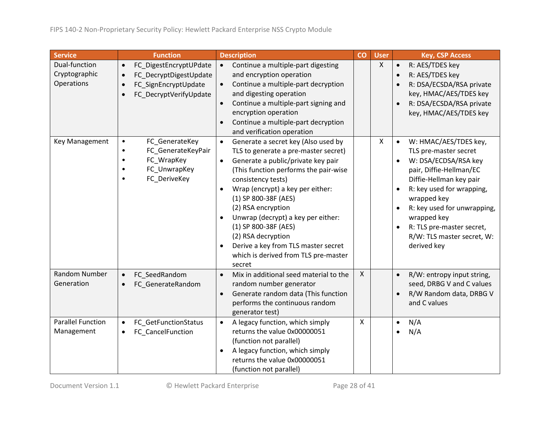| <b>Service</b>                               | <b>Function</b>                                                                                                                                        | <b>Description</b>                                                                                                                                                                                                                                                                                                                                                                                                                                                                                  | CO           | <b>User</b>  | <b>Key, CSP Access</b>                                                                                                                                                                                                                                                                                                     |
|----------------------------------------------|--------------------------------------------------------------------------------------------------------------------------------------------------------|-----------------------------------------------------------------------------------------------------------------------------------------------------------------------------------------------------------------------------------------------------------------------------------------------------------------------------------------------------------------------------------------------------------------------------------------------------------------------------------------------------|--------------|--------------|----------------------------------------------------------------------------------------------------------------------------------------------------------------------------------------------------------------------------------------------------------------------------------------------------------------------------|
| Dual-function<br>Cryptographic<br>Operations | FC_DigestEncryptUPdate<br>$\bullet$<br>FC_DecryptDigestUpdate<br>$\bullet$<br>FC_SignEncryptUpdate<br>$\bullet$<br>FC_DecryptVerifyUpdate<br>$\bullet$ | Continue a multiple-part digesting<br>$\bullet$<br>and encryption operation<br>Continue a multiple-part decryption<br>$\bullet$<br>and digesting operation<br>Continue a multiple-part signing and<br>$\bullet$<br>encryption operation<br>Continue a multiple-part decryption<br>and verification operation                                                                                                                                                                                        |              | $\mathsf{X}$ | R: AES/TDES key<br>$\bullet$<br>R: AES/TDES key<br>$\bullet$<br>R: DSA/ECSDA/RSA private<br>key, HMAC/AES/TDES key<br>R: DSA/ECSDA/RSA private<br>$\bullet$<br>key, HMAC/AES/TDES key                                                                                                                                      |
| Key Management                               | FC_GenerateKey<br>$\bullet$<br>FC_GenerateKeyPair<br>$\bullet$<br>FC_WrapKey<br>$\bullet$<br>FC_UnwrapKey<br>$\bullet$<br>FC_DeriveKey<br>$\bullet$    | Generate a secret key (Also used by<br>$\bullet$<br>TLS to generate a pre-master secret)<br>Generate a public/private key pair<br>$\bullet$<br>(This function performs the pair-wise<br>consistency tests)<br>Wrap (encrypt) a key per either:<br>$\bullet$<br>(1) SP 800-38F (AES)<br>(2) RSA encryption<br>Unwrap (decrypt) a key per either:<br>(1) SP 800-38F (AES)<br>(2) RSA decryption<br>Derive a key from TLS master secret<br>$\bullet$<br>which is derived from TLS pre-master<br>secret |              | X            | W: HMAC/AES/TDES key,<br>$\bullet$<br>TLS pre-master secret<br>W: DSA/ECDSA/RSA key<br>pair, Diffie-Hellman/EC<br>Diffie-Hellman key pair<br>R: key used for wrapping,<br>wrapped key<br>R: key used for unwrapping,<br>$\bullet$<br>wrapped key<br>R: TLS pre-master secret,<br>R/W: TLS master secret, W:<br>derived key |
| Random Number<br>Generation                  | FC SeedRandom<br>$\bullet$<br>FC_GenerateRandom<br>$\bullet$                                                                                           | Mix in additional seed material to the<br>$\bullet$<br>random number generator<br>Generate random data (This function<br>$\bullet$<br>performs the continuous random<br>generator test)                                                                                                                                                                                                                                                                                                             | $\mathsf{X}$ |              | R/W: entropy input string,<br>$\bullet$<br>seed, DRBG V and C values<br>R/W Random data, DRBG V<br>and C values                                                                                                                                                                                                            |
| <b>Parallel Function</b><br>Management       | FC_GetFunctionStatus<br>$\bullet$<br>FC_CancelFunction<br>$\bullet$                                                                                    | A legacy function, which simply<br>$\bullet$<br>returns the value 0x00000051<br>(function not parallel)<br>A legacy function, which simply<br>$\bullet$<br>returns the value 0x00000051<br>(function not parallel)                                                                                                                                                                                                                                                                                  | $\mathsf{X}$ |              | N/A<br>$\bullet$<br>N/A                                                                                                                                                                                                                                                                                                    |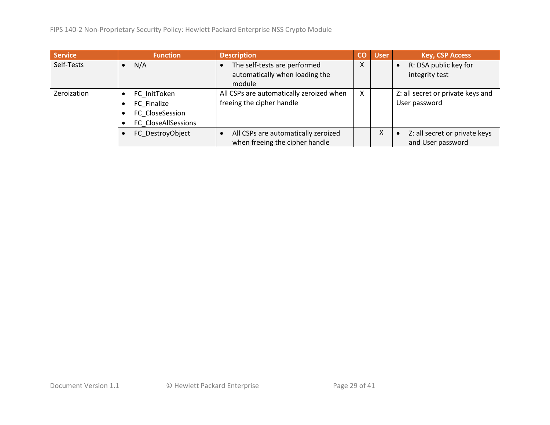FIPS 140-2 Non-Proprietary Security Policy: Hewlett Packard Enterprise NSS Crypto Module

| <b>Service</b> | <b>Function</b>     | <b>Description</b>                       | CO | <b>User</b> | <b>Key, CSP Access</b>            |
|----------------|---------------------|------------------------------------------|----|-------------|-----------------------------------|
| Self-Tests     | N/A                 | The self-tests are performed             | X  |             | R: DSA public key for             |
|                |                     | automatically when loading the           |    |             | integrity test                    |
|                |                     | module                                   |    |             |                                   |
| Zeroization    | FC InitToken        | All CSPs are automatically zeroized when | X  |             | Z: all secret or private keys and |
|                | FC Finalize         | freeing the cipher handle                |    |             | User password                     |
|                | FC CloseSession     |                                          |    |             |                                   |
|                | FC CloseAllSessions |                                          |    |             |                                   |
|                | FC DestroyObject    | All CSPs are automatically zeroized      |    | Χ           | Z: all secret or private keys     |
|                |                     | when freeing the cipher handle           |    |             | and User password                 |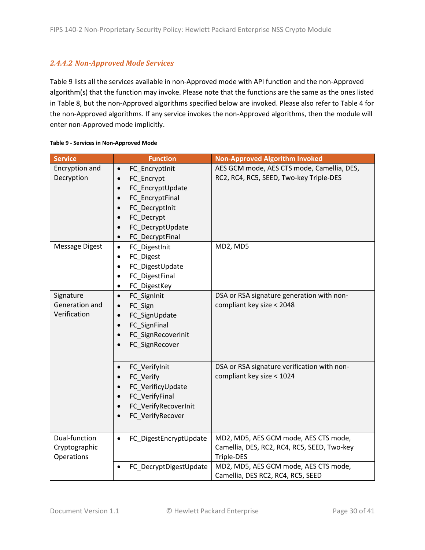#### *2.4.4.2 Non-Approved Mode Services*

[Table 9](#page-29-0) lists all the services available in non-Approved mode with API function and the non-Approved algorithm(s) that the function may invoke. Please note that the functions are the same as the ones listed in [Table 8,](#page-23-0) but the non-Approved algorithms specified below are invoked. Please also refer to [Table 4](#page-11-3) for the non-Approved algorithms. If any service invokes the non-Approved algorithms, then the module will enter non-Approved mode implicitly.

| <b>Service</b>                               | <b>Function</b>                                                                                                                                                      | <b>Non-Approved Algorithm Invoked</b>                                                              |
|----------------------------------------------|----------------------------------------------------------------------------------------------------------------------------------------------------------------------|----------------------------------------------------------------------------------------------------|
| Encryption and<br>Decryption                 | FC_EncryptInit<br>$\bullet$<br>FC_Encrypt<br>FC_EncryptUpdate<br>FC_EncryptFinal<br>FC DecryptInit<br>FC_Decrypt<br>FC_DecryptUpdate<br>FC_DecryptFinal<br>$\bullet$ | AES GCM mode, AES CTS mode, Camellia, DES,<br>RC2, RC4, RC5, SEED, Two-key Triple-DES              |
| Message Digest                               | FC_DigestInit<br>$\bullet$<br>FC_Digest<br>$\bullet$<br>FC_DigestUpdate<br>$\bullet$<br>FC_DigestFinal<br>٠<br>FC_DigestKey<br>٠                                     | MD2, MD5                                                                                           |
| Signature<br>Generation and<br>Verification  | FC_SignInit<br>$\bullet$<br>FC_Sign<br>$\bullet$<br>FC_SignUpdate<br>$\bullet$<br>FC_SignFinal<br>$\bullet$<br>FC_SignRecoverInit<br>FC_SignRecover                  | DSA or RSA signature generation with non-<br>compliant key size < 2048                             |
|                                              | FC_VerifyInit<br>FC Verify<br>FC_VerificyUpdate<br>FC VerifyFinal<br>FC_VerifyRecoverInit<br>$\bullet$<br>FC_VerifyRecover                                           | DSA or RSA signature verification with non-<br>compliant key size < 1024                           |
| Dual-function<br>Cryptographic<br>Operations | FC_DigestEncryptUpdate<br>$\bullet$                                                                                                                                  | MD2, MD5, AES GCM mode, AES CTS mode,<br>Camellia, DES, RC2, RC4, RC5, SEED, Two-key<br>Triple-DES |
|                                              | FC_DecryptDigestUpdate                                                                                                                                               | MD2, MD5, AES GCM mode, AES CTS mode,<br>Camellia, DES RC2, RC4, RC5, SEED                         |

#### <span id="page-29-0"></span>**Table 9 - Services in Non-Approved Mode**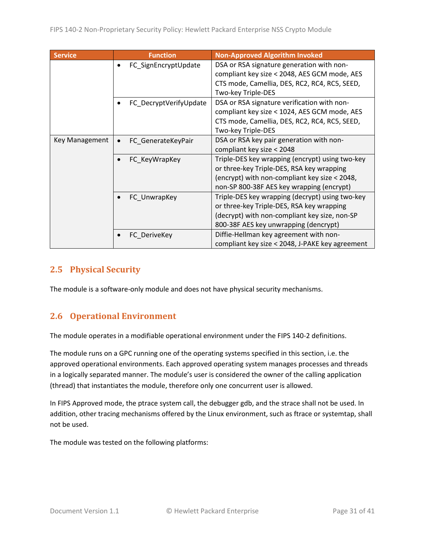| <b>Service</b> | <b>Function</b>                 | <b>Non-Approved Algorithm Invoked</b>           |
|----------------|---------------------------------|-------------------------------------------------|
|                | FC_SignEncryptUpdate            | DSA or RSA signature generation with non-       |
|                |                                 | compliant key size < 2048, AES GCM mode, AES    |
|                |                                 | CTS mode, Camellia, DES, RC2, RC4, RC5, SEED,   |
|                |                                 | Two-key Triple-DES                              |
|                | FC_DecryptVerifyUpdate          | DSA or RSA signature verification with non-     |
|                |                                 | compliant key size < 1024, AES GCM mode, AES    |
|                |                                 | CTS mode, Camellia, DES, RC2, RC4, RC5, SEED,   |
|                |                                 | Two-key Triple-DES                              |
| Key Management | FC GenerateKeyPair<br>$\bullet$ | DSA or RSA key pair generation with non-        |
|                |                                 | compliant key size < 2048                       |
|                | FC_KeyWrapKey                   | Triple-DES key wrapping (encrypt) using two-key |
|                |                                 | or three-key Triple-DES, RSA key wrapping       |
|                |                                 | (encrypt) with non-compliant key size < 2048,   |
|                |                                 | non-SP 800-38F AES key wrapping (encrypt)       |
|                | FC_UnwrapKey                    | Triple-DES key wrapping (decrypt) using two-key |
|                |                                 | or three-key Triple-DES, RSA key wrapping       |
|                |                                 | (decrypt) with non-compliant key size, non-SP   |
|                |                                 | 800-38F AES key unwrapping (dencrypt)           |
|                | FC DeriveKey                    | Diffie-Hellman key agreement with non-          |
|                |                                 | compliant key size < 2048, J-PAKE key agreement |

### <span id="page-30-0"></span>**2.5 Physical Security**

The module is a software-only module and does not have physical security mechanisms.

## <span id="page-30-1"></span>**2.6 Operational Environment**

The module operates in a modifiable operational environment under the FIPS 140-2 definitions.

The module runs on a GPC running one of the operating systems specified in this section, i.e. the approved operational environments. Each approved operating system manages processes and threads in a logically separated manner. The module's user is considered the owner of the calling application (thread) that instantiates the module, therefore only one concurrent user is allowed.

In FIPS Approved mode, the ptrace system call, the debugger gdb, and the strace shall not be used. In addition, other tracing mechanisms offered by the Linux environment, such as ftrace or systemtap, shall not be used.

The module was tested on the following platforms: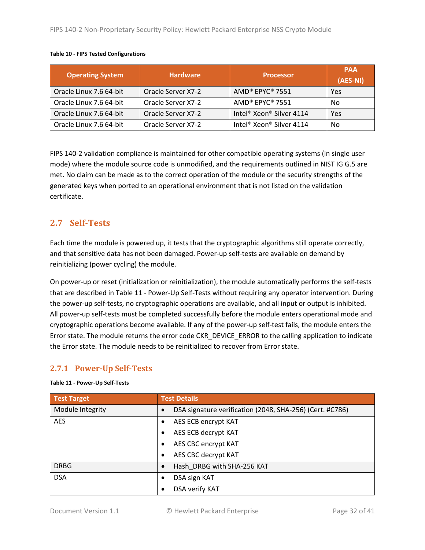| <b>Operating System</b> | <b>Hardware</b>    | <b>Processor</b>                                 | <b>PAA</b><br>(AES-NI) |
|-------------------------|--------------------|--------------------------------------------------|------------------------|
| Oracle Linux 7.6 64-bit | Oracle Server X7-2 | AMD® EPYC® 7551                                  | Yes                    |
| Oracle Linux 7.6 64-bit | Oracle Server X7-2 | AMD® EPYC® 7551                                  | No                     |
| Oracle Linux 7.6 64-bit | Oracle Server X7-2 | Intel <sup>®</sup> Xeon <sup>®</sup> Silver 4114 | Yes                    |
| Oracle Linux 7.6 64-bit | Oracle Server X7-2 | Intel <sup>®</sup> Xeon <sup>®</sup> Silver 4114 | No                     |

#### **Table 10 - FIPS Tested Configurations**

FIPS 140-2 validation compliance is maintained for other compatible operating systems (in single user mode) where the module source code is unmodified, and the requirements outlined in NIST IG G.5 are met. No claim can be made as to the correct operation of the module or the security strengths of the generated keys when ported to an operational environment that is not listed on the validation certificate.

### <span id="page-31-0"></span>**2.7 Self-Tests**

Each time the module is powered up, it tests that the cryptographic algorithms still operate correctly, and that sensitive data has not been damaged. Power-up self-tests are available on demand by reinitializing (power cycling) the module.

On power-up or reset (initialization or reinitialization), the module automatically performs the self-tests that are described in Table 11 - [Power-Up Self-Tests](#page-31-2) without requiring any operator intervention. During the power-up self-tests, no cryptographic operations are available, and all input or output is inhibited. All power-up self-tests must be completed successfully before the module enters operational mode and cryptographic operations become available. If any of the power-up self-test fails, the module enters the Error state. The module returns the error code CKR\_DEVICE\_ERROR to the calling application to indicate the Error state. The module needs to be reinitialized to recover from Error state.

### <span id="page-31-1"></span>**2.7.1 Power-Up Self-Tests**

#### <span id="page-31-2"></span>**Table 11 - Power-Up Self-Tests**

| <b>Test Target</b> | <b>Test Details</b>                                                   |
|--------------------|-----------------------------------------------------------------------|
| Module Integrity   | DSA signature verification (2048, SHA-256) (Cert. #C786)<br>$\bullet$ |
| <b>AES</b>         | AES ECB encrypt KAT                                                   |
|                    | AES ECB decrypt KAT                                                   |
|                    | AES CBC encrypt KAT                                                   |
|                    | AES CBC decrypt KAT<br>$\bullet$                                      |
| <b>DRBG</b>        | Hash DRBG with SHA-256 KAT<br>$\bullet$                               |
| <b>DSA</b>         | DSA sign KAT<br>$\bullet$                                             |
|                    | DSA verify KAT                                                        |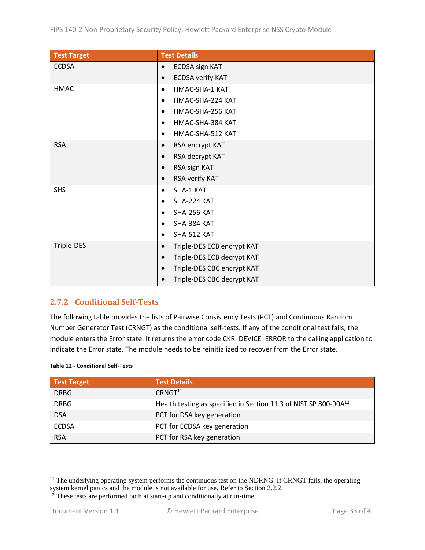| <b>Test Target</b> | <b>Test Details</b>                     |
|--------------------|-----------------------------------------|
| <b>ECDSA</b>       | <b>ECDSA sign KAT</b><br>$\bullet$      |
|                    | <b>ECDSA verify KAT</b><br>$\bullet$    |
| <b>HMAC</b>        | HMAC-SHA-1 KAT<br>$\bullet$             |
|                    | HMAC-SHA-224 KAT<br>$\bullet$           |
|                    | HMAC-SHA-256 KAT<br>$\bullet$           |
|                    | HMAC-SHA-384 KAT<br>$\bullet$           |
|                    | HMAC-SHA-512 KAT<br>$\bullet$           |
| <b>RSA</b>         | RSA encrypt KAT<br>$\bullet$            |
|                    | RSA decrypt KAT<br>$\bullet$            |
|                    | RSA sign KAT<br>$\bullet$               |
|                    | RSA verify KAT<br>$\bullet$             |
| <b>SHS</b>         | SHA-1 KAT<br>٠                          |
|                    | SHA-224 KAT<br>$\bullet$                |
|                    | SHA-256 KAT<br>$\bullet$                |
|                    | SHA-384 KAT<br>$\bullet$                |
|                    | SHA-512 KAT<br>$\bullet$                |
| Triple-DES         | Triple-DES ECB encrypt KAT<br>$\bullet$ |
|                    | Triple-DES ECB decrypt KAT<br>$\bullet$ |
|                    | Triple-DES CBC encrypt KAT<br>$\bullet$ |
|                    | Triple-DES CBC decrypt KAT              |

#### <span id="page-32-0"></span>**2.7.2 Conditional Self-Tests**

The following table provides the lists of Pairwise Consistency Tests (PCT) and Continuous Random Number Generator Test (CRNGT) as the conditional self-tests. If any of the conditional test fails, the module enters the Error state. It returns the error code CKR\_DEVICE\_ERROR to the calling application to indicate the Error state. The module needs to be reinitialized to recover from the Error state.

| Table 12 - Conditional Self-Tests |                    |
|-----------------------------------|--------------------|
| <b>Test Target</b>                | <b>Test Detail</b> |

| <b>Test Target</b> | <b>Test Details</b>                                                          |
|--------------------|------------------------------------------------------------------------------|
| <b>DRBG</b>        | CRNGT <sup>11</sup>                                                          |
| <b>DRBG</b>        | Health testing as specified in Section 11.3 of NIST SP 800-90A <sup>12</sup> |
| <b>DSA</b>         | PCT for DSA key generation                                                   |
| <b>ECDSA</b>       | PCT for ECDSA key generation                                                 |
| <b>RSA</b>         | PCT for RSA key generation                                                   |

<sup>&</sup>lt;sup>11</sup> The underlying operating system performs the continuous test on the NDRNG. If CRNGT fails, the operating system kernel panics and the module is not available for use. Refer to Section [2.2.2.](#page-15-0)

 $12$ <sup>12</sup> These tests are performed both at start-up and conditionally at run-time.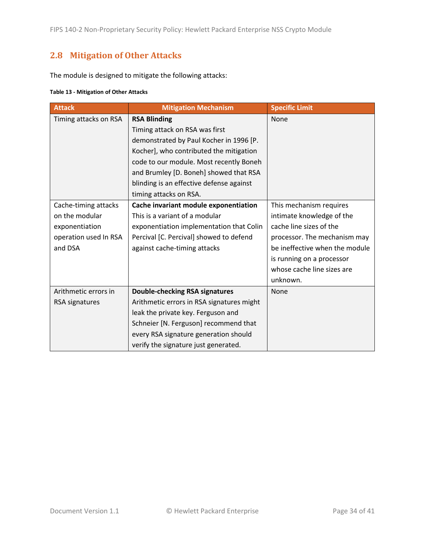## <span id="page-33-0"></span>**2.8 Mitigation of Other Attacks**

The module is designed to mitigate the following attacks:

#### **Table 13 - Mitigation of Other Attacks**

| <b>Attack</b>                                                                                | <b>Mitigation Mechanism</b>                                                                                                                                                                                                                                                                            | <b>Specific Limit</b>                                                                                                                                                                                                    |
|----------------------------------------------------------------------------------------------|--------------------------------------------------------------------------------------------------------------------------------------------------------------------------------------------------------------------------------------------------------------------------------------------------------|--------------------------------------------------------------------------------------------------------------------------------------------------------------------------------------------------------------------------|
| Timing attacks on RSA                                                                        | <b>RSA Blinding</b><br>Timing attack on RSA was first<br>demonstrated by Paul Kocher in 1996 [P.<br>Kocher], who contributed the mitigation<br>code to our module. Most recently Boneh<br>and Brumley [D. Boneh] showed that RSA<br>blinding is an effective defense against<br>timing attacks on RSA. | None                                                                                                                                                                                                                     |
| Cache-timing attacks<br>on the modular<br>exponentiation<br>operation used In RSA<br>and DSA | Cache invariant module exponentiation<br>This is a variant of a modular<br>exponentiation implementation that Colin<br>Percival [C. Percival] showed to defend<br>against cache-timing attacks                                                                                                         | This mechanism requires<br>intimate knowledge of the<br>cache line sizes of the<br>processor. The mechanism may<br>be ineffective when the module<br>is running on a processor<br>whose cache line sizes are<br>unknown. |
| Arithmetic errors in<br>RSA signatures                                                       | <b>Double-checking RSA signatures</b><br>Arithmetic errors in RSA signatures might<br>leak the private key. Ferguson and<br>Schneier [N. Ferguson] recommend that<br>every RSA signature generation should<br>verify the signature just generated.                                                     | None                                                                                                                                                                                                                     |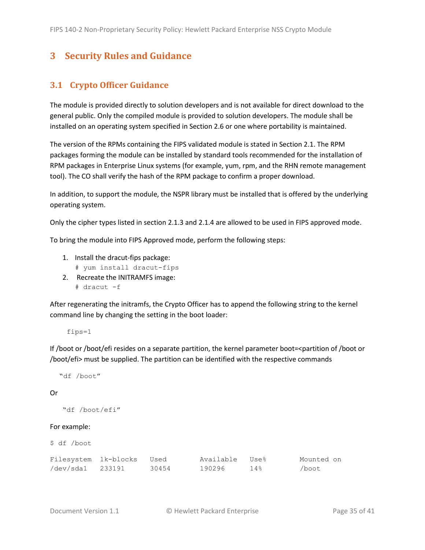## <span id="page-34-0"></span>**3 Security Rules and Guidance**

### <span id="page-34-1"></span>**3.1 Crypto Officer Guidance**

The module is provided directly to solution developers and is not available for direct download to the general public. Only the compiled module is provided to solution developers. The module shall be installed on an operating system specified in Section [2.6](#page-30-1) or one where portability is maintained.

The version of the RPMs containing the FIPS validated module is stated in Section [2.1.](#page-6-1) The RPM packages forming the module can be installed by standard tools recommended for the installation of RPM packages in Enterprise Linux systems (for example, yum, rpm, and the RHN remote management tool). The CO shall verify the hash of the RPM package to confirm a proper download.

In addition, to support the module, the NSPR library must be installed that is offered by the underlying operating system.

Only the cipher types listed in section [2.1.3](#page-8-0) and [2.1.4](#page-11-0) are allowed to be used in FIPS approved mode.

To bring the module into FIPS Approved mode, perform the following steps:

- 1. Install the dracut-fips package:
	- # yum install dracut-fips
- 2. Recreate the INITRAMFS image: # dracut -f

After regenerating the initramfs, the Crypto Officer has to append the following string to the kernel command line by changing the setting in the boot loader:

fips=1

If /boot or /boot/efi resides on a separate partition, the kernel parameter boot=<partition of /boot or /boot/efi> must be supplied. The partition can be identified with the respective commands

```
 "df /boot"
```
#### Or

```
 "df /boot/efi"
```
#### For example:

| \$<br>/boot<br>df |  |
|-------------------|--|
|-------------------|--|

| Filesystem 1k-blocks | Used  | Available Use% |     | Mounted on |
|----------------------|-------|----------------|-----|------------|
| /dev/sda1 233191     | 30454 | 190296         | 14% | /boot      |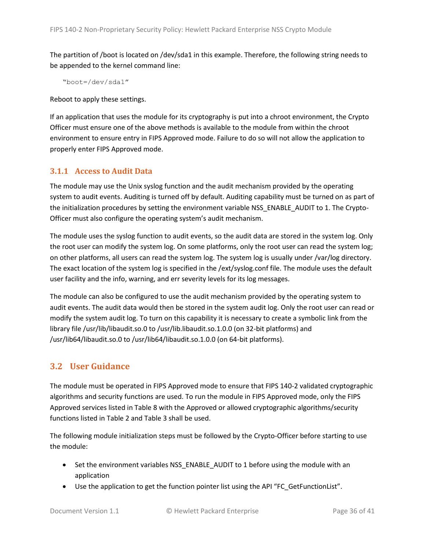The partition of /boot is located on /dev/sda1 in this example. Therefore, the following string needs to be appended to the kernel command line:

"boot=/dev/sda1"

Reboot to apply these settings.

If an application that uses the module for its cryptography is put into a chroot environment, the Crypto Officer must ensure one of the above methods is available to the module from within the chroot environment to ensure entry in FIPS Approved mode. Failure to do so will not allow the application to properly enter FIPS Approved mode.

#### <span id="page-35-0"></span>**3.1.1 Access to Audit Data**

The module may use the Unix syslog function and the audit mechanism provided by the operating system to audit events. Auditing is turned off by default. Auditing capability must be turned on as part of the initialization procedures by setting the environment variable NSS\_ENABLE\_AUDIT to 1. The Crypto-Officer must also configure the operating system's audit mechanism.

The module uses the syslog function to audit events, so the audit data are stored in the system log. Only the root user can modify the system log. On some platforms, only the root user can read the system log; on other platforms, all users can read the system log. The system log is usually under /var/log directory. The exact location of the system log is specified in the /ext/syslog.conf file. The module uses the default user facility and the info, warning, and err severity levels for its log messages.

The module can also be configured to use the audit mechanism provided by the operating system to audit events. The audit data would then be stored in the system audit log. Only the root user can read or modify the system audit log. To turn on this capability it is necessary to create a symbolic link from the library file /usr/lib/libaudit.so.0 to /usr/lib.libaudit.so.1.0.0 (on 32-bit platforms) and /usr/lib64/libaudit.so.0 to /usr/lib64/libaudit.so.1.0.0 (on 64-bit platforms).

#### <span id="page-35-1"></span>**3.2 User Guidance**

The module must be operated in FIPS Approved mode to ensure that FIPS 140-2 validated cryptographic algorithms and security functions are used. To run the module in FIPS Approved mode, only the FIPS Approved services listed in [Table 8](#page-23-0) with the Approved or allowed cryptographic algorithms/security functions listed i[n Table 2](#page-8-1) and [Table 3](#page-11-2) shall be used.

The following module initialization steps must be followed by the Crypto-Officer before starting to use the module:

- Set the environment variables NSS\_ENABLE\_AUDIT to 1 before using the module with an application
- Use the application to get the function pointer list using the API "FC GetFunctionList".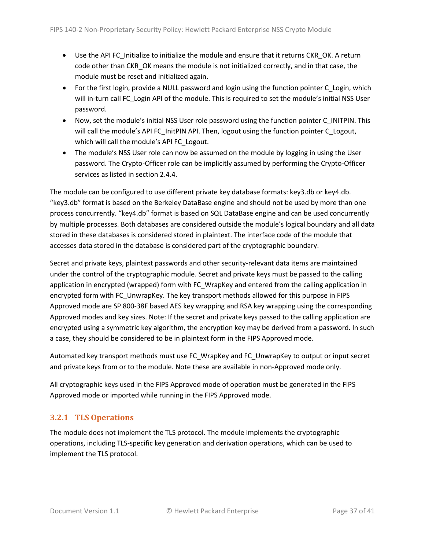- Use the API FC\_Initialize to initialize the module and ensure that it returns CKR\_OK. A return code other than CKR\_OK means the module is not initialized correctly, and in that case, the module must be reset and initialized again.
- For the first login, provide a NULL password and login using the function pointer C Login, which will in-turn call FC Login API of the module. This is required to set the module's initial NSS User password.
- Now, set the module's initial NSS User role password using the function pointer C\_INITPIN. This will call the module's API FC\_InitPIN API. Then, logout using the function pointer C\_Logout, which will call the module's API FC\_Logout.
- The module's NSS User role can now be assumed on the module by logging in using the User password. The Crypto-Officer role can be implicitly assumed by performing the Crypto-Officer services as listed in sectio[n 2.4.4.](#page-22-0)

The module can be configured to use different private key database formats: key3.db or key4.db. "key3.db" format is based on the Berkeley DataBase engine and should not be used by more than one process concurrently. "key4.db" format is based on SQL DataBase engine and can be used concurrently by multiple processes. Both databases are considered outside the module's logical boundary and all data stored in these databases is considered stored in plaintext. The interface code of the module that accesses data stored in the database is considered part of the cryptographic boundary.

Secret and private keys, plaintext passwords and other security-relevant data items are maintained under the control of the cryptographic module. Secret and private keys must be passed to the calling application in encrypted (wrapped) form with FC\_WrapKey and entered from the calling application in encrypted form with FC\_UnwrapKey. The key transport methods allowed for this purpose in FIPS Approved mode are SP 800-38F based AES key wrapping and RSA key wrapping using the corresponding Approved modes and key sizes. Note: If the secret and private keys passed to the calling application are encrypted using a symmetric key algorithm, the encryption key may be derived from a password. In such a case, they should be considered to be in plaintext form in the FIPS Approved mode.

Automated key transport methods must use FC\_WrapKey and FC\_UnwrapKey to output or input secret and private keys from or to the module. Note these are available in non-Approved mode only.

All cryptographic keys used in the FIPS Approved mode of operation must be generated in the FIPS Approved mode or imported while running in the FIPS Approved mode.

### <span id="page-36-0"></span>**3.2.1 TLS Operations**

The module does not implement the TLS protocol. The module implements the cryptographic operations, including TLS-specific key generation and derivation operations, which can be used to implement the TLS protocol.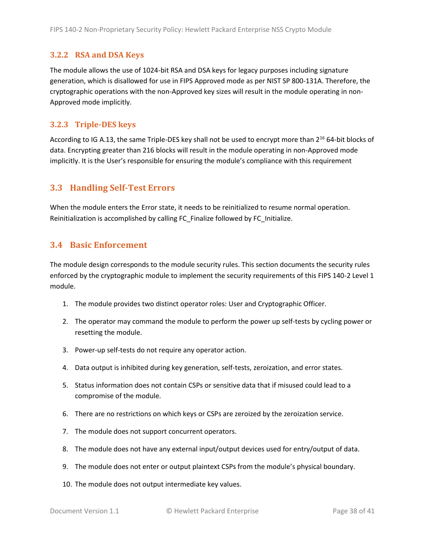#### <span id="page-37-0"></span>**3.2.2 RSA and DSA Keys**

The module allows the use of 1024-bit RSA and DSA keys for legacy purposes including signature generation, which is disallowed for use in FIPS Approved mode as per NIST SP 800-131A. Therefore, the cryptographic operations with the non-Approved key sizes will result in the module operating in non-Approved mode implicitly.

#### <span id="page-37-1"></span>**3.2.3 Triple-DES keys**

According to IG A.13, the same Triple-DES key shall not be used to encrypt more than 2<sup>16</sup> 64-bit blocks of data. Encrypting greater than 216 blocks will result in the module operating in non-Approved mode implicitly. It is the User's responsible for ensuring the module's compliance with this requirement

#### <span id="page-37-2"></span>**3.3 Handling Self-Test Errors**

When the module enters the Error state, it needs to be reinitialized to resume normal operation. Reinitialization is accomplished by calling FC\_Finalize followed by FC\_Initialize.

#### <span id="page-37-3"></span>**3.4 Basic Enforcement**

The module design corresponds to the module security rules. This section documents the security rules enforced by the cryptographic module to implement the security requirements of this FIPS 140-2 Level 1 module.

- 1. The module provides two distinct operator roles: User and Cryptographic Officer.
- 2. The operator may command the module to perform the power up self-tests by cycling power or resetting the module.
- 3. Power-up self-tests do not require any operator action.
- 4. Data output is inhibited during key generation, self-tests, zeroization, and error states.
- 5. Status information does not contain CSPs or sensitive data that if misused could lead to a compromise of the module.
- 6. There are no restrictions on which keys or CSPs are zeroized by the zeroization service.
- 7. The module does not support concurrent operators.
- 8. The module does not have any external input/output devices used for entry/output of data.
- 9. The module does not enter or output plaintext CSPs from the module's physical boundary.
- 10. The module does not output intermediate key values.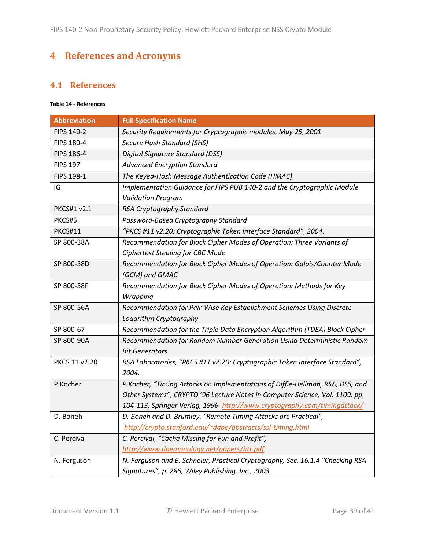## <span id="page-38-0"></span>**4 References and Acronyms**

### <span id="page-38-1"></span>**4.1 References**

#### **Table 14 - References**

| <b>Abbreviation</b> | <b>Full Specification Name</b>                                                 |
|---------------------|--------------------------------------------------------------------------------|
| FIPS 140-2          | Security Requirements for Cryptographic modules, May 25, 2001                  |
| FIPS 180-4          | <b>Secure Hash Standard (SHS)</b>                                              |
| <b>FIPS 186-4</b>   | Digital Signature Standard (DSS)                                               |
| <b>FIPS 197</b>     | <b>Advanced Encryption Standard</b>                                            |
| FIPS 198-1          | The Keyed-Hash Message Authentication Code (HMAC)                              |
| IG                  | Implementation Guidance for FIPS PUB 140-2 and the Cryptographic Module        |
|                     | <b>Validation Program</b>                                                      |
| PKCS#1 v2.1         | RSA Cryptography Standard                                                      |
| PKCS#5              | Password-Based Cryptography Standard                                           |
| <b>PKCS#11</b>      | "PKCS #11 v2.20: Cryptographic Token Interface Standard", 2004.                |
| SP 800-38A          | Recommendation for Block Cipher Modes of Operation: Three Variants of          |
|                     | <b>Ciphertext Stealing for CBC Mode</b>                                        |
| SP 800-38D          | Recommendation for Block Cipher Modes of Operation: Galois/Counter Mode        |
|                     | (GCM) and GMAC                                                                 |
| SP 800-38F          | Recommendation for Block Cipher Modes of Operation: Methods for Key            |
|                     | Wrapping                                                                       |
| SP 800-56A          | Recommendation for Pair-Wise Key Establishment Schemes Using Discrete          |
|                     | Logarithm Cryptography                                                         |
| SP 800-67           | Recommendation for the Triple Data Encryption Algorithm (TDEA) Block Cipher    |
| SP 800-90A          | Recommendation for Random Number Generation Using Deterministic Random         |
|                     | <b>Bit Generators</b>                                                          |
| PKCS 11 v2.20       | RSA Laboratories, "PKCS #11 v2.20: Cryptographic Token Interface Standard",    |
|                     | 2004.                                                                          |
| P.Kocher            | P.Kocher, "Timing Attacks on Implementations of Diffie-Hellman, RSA, DSS, and  |
|                     | Other Systems", CRYPTO '96 Lecture Notes in Computer Science, Vol. 1109, pp.   |
|                     | 104-113, Springer Verlag, 1996. http://www.cryptography.com/timingattack/      |
| D. Boneh            | D. Boneh and D. Brumley. "Remote Timing Attacks are Practical",                |
|                     | http://crypto.stanford.edu/~dabo/abstracts/ssl-timing.html                     |
| C. Percival         | C. Percival, "Cache Missing for Fun and Profit",                               |
|                     | http://www.daemonology.net/papers/htt.pdf                                      |
| N. Ferguson         | N. Ferguson and B. Schneier, Practical Cryptography, Sec. 16.1.4 "Checking RSA |
|                     | Signatures", p. 286, Wiley Publishing, Inc., 2003.                             |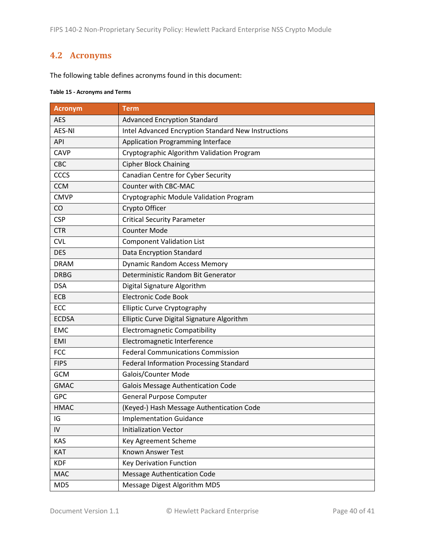### <span id="page-39-0"></span>**4.2 Acronyms**

The following table defines acronyms found in this document:

#### **Table 15 - Acronyms and Terms**

| <b>Acronym</b> | <b>Term</b>                                         |
|----------------|-----------------------------------------------------|
| <b>AES</b>     | <b>Advanced Encryption Standard</b>                 |
| <b>AES-NI</b>  | Intel Advanced Encryption Standard New Instructions |
| API            | <b>Application Programming Interface</b>            |
| <b>CAVP</b>    | Cryptographic Algorithm Validation Program          |
| CBC            | <b>Cipher Block Chaining</b>                        |
| CCCS           | Canadian Centre for Cyber Security                  |
| <b>CCM</b>     | Counter with CBC-MAC                                |
| <b>CMVP</b>    | Cryptographic Module Validation Program             |
| CO             | Crypto Officer                                      |
| <b>CSP</b>     | <b>Critical Security Parameter</b>                  |
| <b>CTR</b>     | <b>Counter Mode</b>                                 |
| <b>CVL</b>     | <b>Component Validation List</b>                    |
| <b>DES</b>     | Data Encryption Standard                            |
| <b>DRAM</b>    | <b>Dynamic Random Access Memory</b>                 |
| <b>DRBG</b>    | Deterministic Random Bit Generator                  |
| <b>DSA</b>     | Digital Signature Algorithm                         |
| ECB            | <b>Electronic Code Book</b>                         |
| ECC            | <b>Elliptic Curve Cryptography</b>                  |
| <b>ECDSA</b>   | Elliptic Curve Digital Signature Algorithm          |
| <b>EMC</b>     | <b>Electromagnetic Compatibility</b>                |
| EMI            | Electromagnetic Interference                        |
| <b>FCC</b>     | <b>Federal Communications Commission</b>            |
| <b>FIPS</b>    | <b>Federal Information Processing Standard</b>      |
| <b>GCM</b>     | Galois/Counter Mode                                 |
| <b>GMAC</b>    | <b>Galois Message Authentication Code</b>           |
| <b>GPC</b>     | <b>General Purpose Computer</b>                     |
| <b>HMAC</b>    | (Keyed-) Hash Message Authentication Code           |
| IG             | <b>Implementation Guidance</b>                      |
| IV             | <b>Initialization Vector</b>                        |
| <b>KAS</b>     | Key Agreement Scheme                                |
| KAT            | <b>Known Answer Test</b>                            |
| <b>KDF</b>     | <b>Key Derivation Function</b>                      |
| <b>MAC</b>     | <b>Message Authentication Code</b>                  |
| MD5            | Message Digest Algorithm MD5                        |